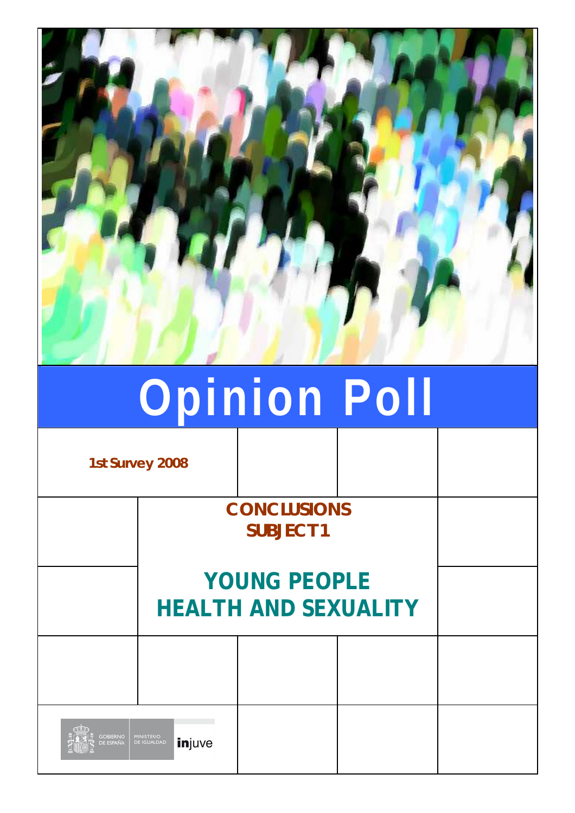

# **Opinion Poll**

**1st Survey 2008**

**CONCLUSIONS SUBJECT 1**

# **YOUNG PEOPLE HEALTH AND SEXUALITY**

| $\sigma$            |                             |  |  |
|---------------------|-----------------------------|--|--|
| <b>A A COBIERNO</b> | A <b>DE IGUALDAD injuve</b> |  |  |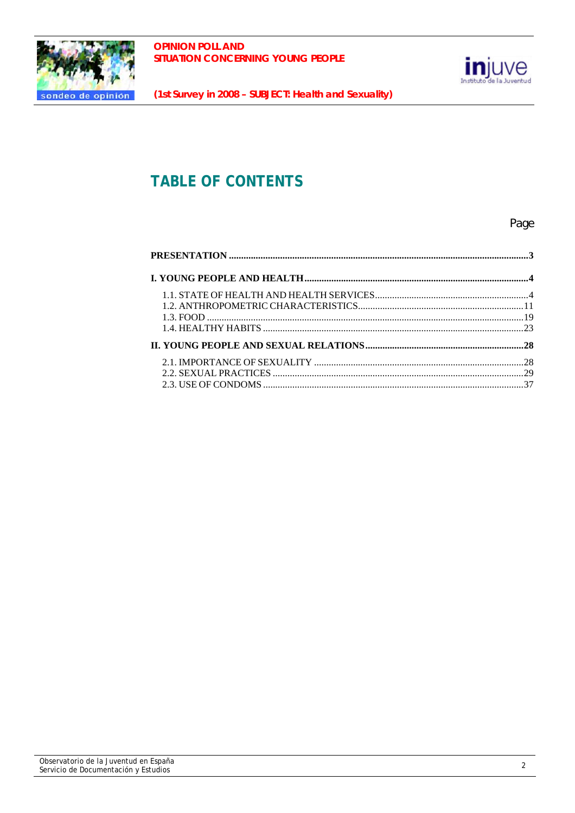



# **TABLE OF CONTENTS**

## Page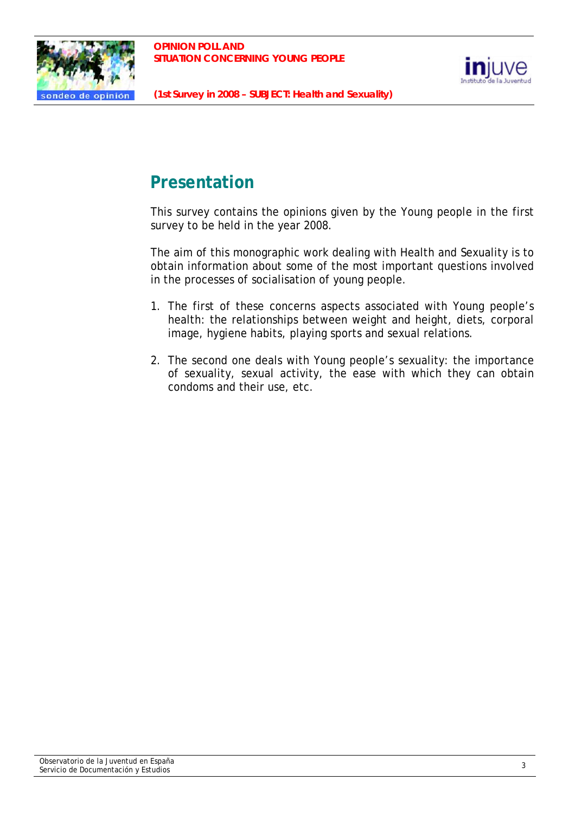



# **Presentation**

This survey contains the opinions given by the Young people in the first survey to be held in the year 2008.

The aim of this monographic work dealing with Health and Sexuality is to obtain information about some of the most important questions involved in the processes of socialisation of young people.

- 1. The first of these concerns aspects associated with Young people's health: the relationships between weight and height, diets, corporal image, hygiene habits, playing sports and sexual relations.
- 2. The second one deals with Young people's sexuality: the importance of sexuality, sexual activity, the ease with which they can obtain condoms and their use, etc.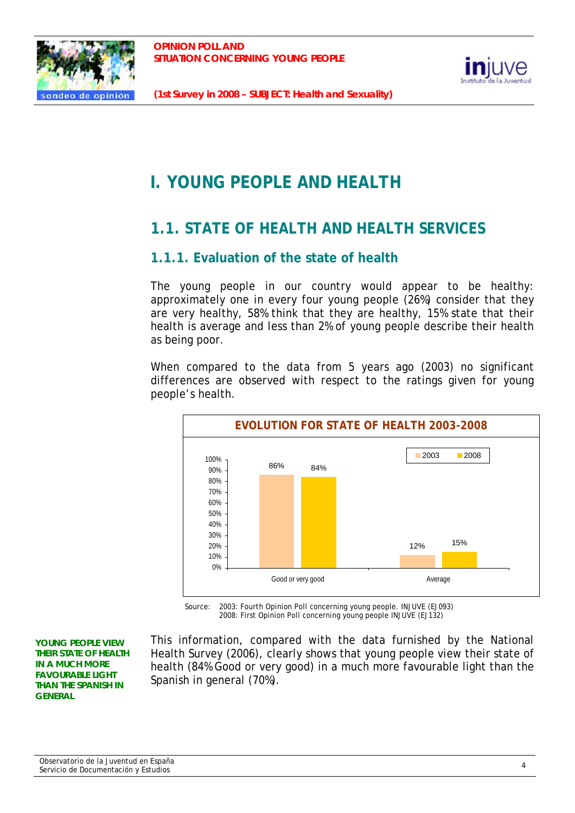



# **I. YOUNG PEOPLE AND HEALTH**

# **1.1. STATE OF HEALTH AND HEALTH SERVICES**

# **1.1.1. Evaluation of the state of health**

The young people in our country would appear to be healthy: approximately one in every four young people (26%) consider that they are very healthy, 58% think that they are healthy, 15% state that their health is average and less than 2% of young people describe their health as being poor.

When compared to the data from 5 years ago (2003) no significant differences are observed with respect to the ratings given for young people's health.



Source: 2003: Fourth Opinion Poll concerning young people. INJUVE (EJ093) 2008: First Opinion Poll concerning young people INJUVE (EJ132)

**YOUNG PEOPLE VIEW THEIR STATE OF HEALTH IN A MUCH MORE FAVOURABLE LIGHT THAN THE SPANISH IN GENERAL** 

This information, compared with the data furnished by the National Health Survey (2006), clearly shows that young people view their state of health (84% Good or very good) in a much more favourable light than the Spanish in general (70%).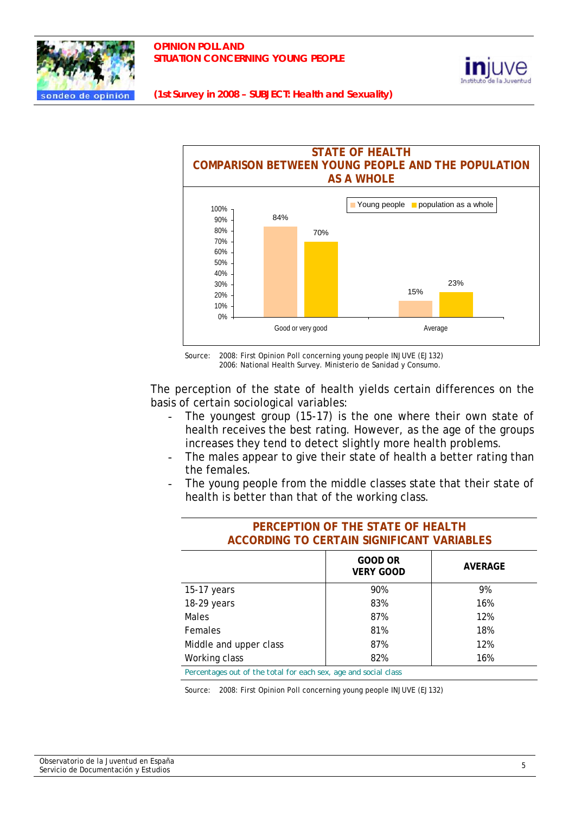





Source: 2008: First Opinion Poll concerning young people INJUVE (EJ132) 2006: National Health Survey. Ministerio de Sanidad y Consumo.

The perception of the state of health yields certain differences on the basis of certain sociological variables:

- The youngest group (15-17) is the one where their own state of health receives the best rating. However, as the age of the groups increases they tend to detect slightly more health problems.
- The males appear to give their state of health a better rating than the females.
- The young people from the middle classes state that their state of health is better than that of the working class.

| PERCEPTION OF THE STATE OF HEALTH<br>ACCORDING TO CERTAIN SIGNIFICANT VARIABLES |     |     |  |  |  |
|---------------------------------------------------------------------------------|-----|-----|--|--|--|
| <b>GOOD OR</b><br><b>AVERAGE</b><br><b>VERY GOOD</b>                            |     |     |  |  |  |
| 15-17 years                                                                     | 9%  |     |  |  |  |
| 18-29 years                                                                     | 83% | 16% |  |  |  |
| <b>Males</b>                                                                    | 87% | 12% |  |  |  |
| 81%<br>18%<br>Females                                                           |     |     |  |  |  |
| Middle and upper class<br>87%<br>12%                                            |     |     |  |  |  |
| Working class<br>82%<br>16%                                                     |     |     |  |  |  |

*Percentages out of the total for each sex, age and social class* 

Source: 2008: First Opinion Poll concerning young people INJUVE (EJ132)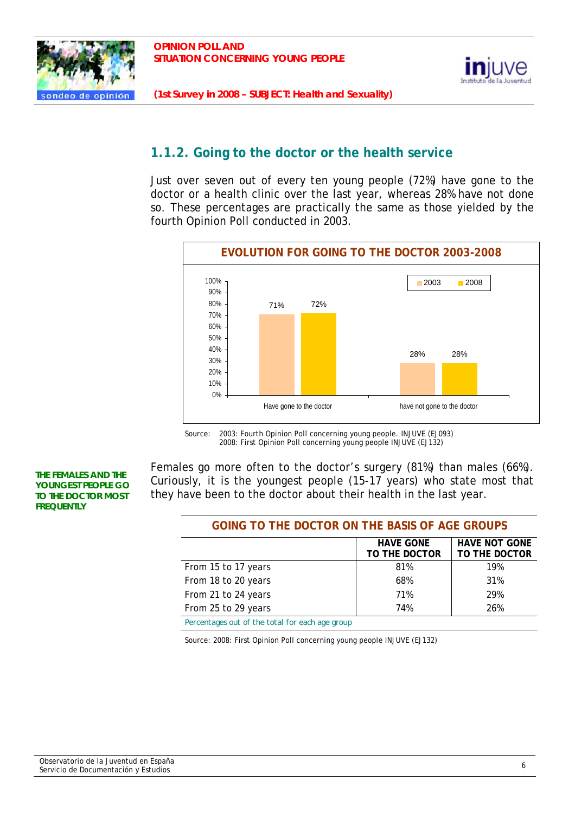



# **1.1.2. Going to the doctor or the health service**

Just over seven out of every ten young people (72%) have gone to the doctor or a health clinic over the last year, whereas 28% have not done so. These percentages are practically the same as those yielded by the fourth Opinion Poll conducted in 2003.



Source: 2003: Fourth Opinion Poll concerning young people. INJUVE (EJ093) 2008: First Opinion Poll concerning young people INJUVE (EJ132)

#### **THE FEMALES AND THE YOUNGEST PEOPLE GO TO THE DOCTOR MOST FREQUENTLY**

Females go more often to the doctor's surgery (81%) than males (66%). Curiously, it is the youngest people (15-17 years) who state most that they have been to the doctor about their health in the last year.

# **GOING TO THE DOCTOR ON THE BASIS OF AGE GROUPS**

|                                                 | <b>HAVE GONE</b> | <b>HAVE NOT GONE</b> |
|-------------------------------------------------|------------------|----------------------|
|                                                 | TO THE DOCTOR    | TO THE DOCTOR        |
| From 15 to 17 years                             | 81%              | 19%                  |
| From 18 to 20 years                             | 68%              | 31%                  |
| From 21 to 24 years                             | 71%              | 29%                  |
| From 25 to 29 years                             | 74%              | 26%                  |
| Percentages out of the total for each age group |                  |                      |

*Percentages out of the total for each age group* 

Source: 2008: First Opinion Poll concerning young people INJUVE (EJ132)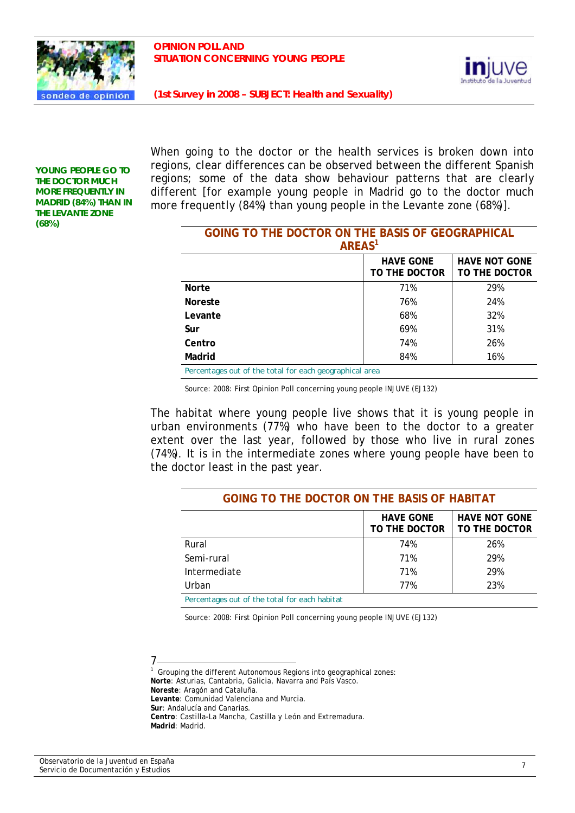



**YOUNG PEOPLE GO TO THE DOCTOR MUCH MORE FREQUENTLY IN MADRID (84%) THAN IN THE LEVANTE ZONE (68%)** 

When going to the doctor or the health services is broken down into regions, clear differences can be observed between the different Spanish regions; some of the data show behaviour patterns that are clearly different [for example young people in Madrid go to the doctor much more frequently (84%) than young people in the Levante zone (68%)].

| GOING TO THE DOCTOR ON THE BASIS OF GEOGRAPHICAL                           |     |     |  |  |  |
|----------------------------------------------------------------------------|-----|-----|--|--|--|
| AREAS <sup>1</sup>                                                         |     |     |  |  |  |
| <b>HAVE NOT GONE</b><br><b>HAVE GONE</b><br>TO THE DOCTOR<br>TO THE DOCTOR |     |     |  |  |  |
| <b>Norte</b>                                                               | 71% | 29% |  |  |  |
| <b>Noreste</b>                                                             | 76% | 24% |  |  |  |
| Levante                                                                    | 68% | 32% |  |  |  |
| Sur                                                                        | 69% | 31% |  |  |  |
| Centro                                                                     | 74% | 26% |  |  |  |
| Madrid                                                                     | 84% | 16% |  |  |  |
| Percentages out of the total for each geographical area                    |     |     |  |  |  |

Source: 2008: First Opinion Poll concerning young people INJUVE (EJ132)

The habitat where young people live shows that it is young people in urban environments (77%) who have been to the doctor to a greater extent over the last year, followed by those who live in rural zones (74%). It is in the intermediate zones where young people have been to the doctor least in the past year.

| <b>GOING TO THE DOCTOR ON THE BASIS OF HABITAT</b>                         |     |     |  |  |  |
|----------------------------------------------------------------------------|-----|-----|--|--|--|
| <b>HAVE NOT GONE</b><br><b>HAVE GONE</b><br>TO THE DOCTOR<br>TO THE DOCTOR |     |     |  |  |  |
| Rural                                                                      | 74% | 26% |  |  |  |
| Semi-rural                                                                 | 71% | 29% |  |  |  |
| Intermediate                                                               | 71% | 29% |  |  |  |
| 23%<br>77%<br>Urban                                                        |     |     |  |  |  |
| Percentages out of the total for each habitat                              |     |     |  |  |  |

Source: 2008: First Opinion Poll concerning young people INJUVE (EJ132)

#### 7

1 Grouping the different Autonomous Regions into geographical zones: **Norte**: Asturias, Cantabria, Galicia, Navarra and País Vasco. **Noreste**: Aragón and Cataluña. **Levante**: Comunidad Valenciana and Murcia. **Sur**: Andalucía and Canarias. **Centro**: Castilla-La Mancha, Castilla y León and Extremadura. **Madrid**: Madrid.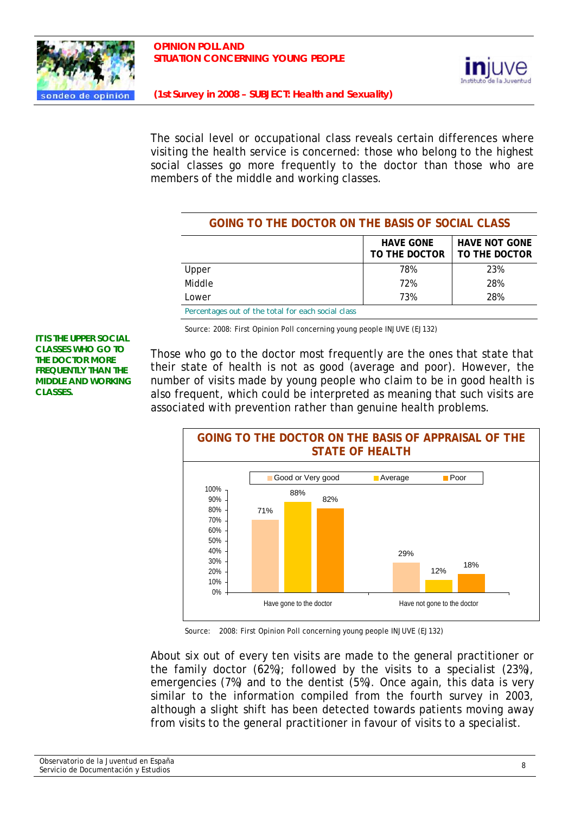



The social level or occupational class reveals certain differences where visiting the health service is concerned: those who belong to the highest social classes go more frequently to the doctor than those who are members of the middle and working classes.

| GOING TO THE DOCTOR ON THE BASIS OF SOCIAL CLASS                           |     |     |  |  |  |
|----------------------------------------------------------------------------|-----|-----|--|--|--|
| <b>HAVE NOT GONE</b><br><b>HAVE GONE</b><br>TO THE DOCTOR<br>TO THE DOCTOR |     |     |  |  |  |
| Upper                                                                      | 78% | 23% |  |  |  |
| Middle                                                                     | 72% | 28% |  |  |  |
| Lower                                                                      | 73% | 28% |  |  |  |
| Percentages out of the total for each social class                         |     |     |  |  |  |

Source: 2008: First Opinion Poll concerning young people INJUVE (EJ132)

**IT IS THE UPPER SOCIAL CLASSES WHO GO TO THE DOCTOR MORE FREQUENTLY THAN THE MIDDLE AND WORKING CLASSES.** 

Those who go to the doctor most frequently are the ones that state that their state of health is not as good (average and poor). However, the number of visits made by young people who claim to be in good health is also frequent, which could be interpreted as meaning that such visits are associated with prevention rather than genuine health problems.



Source: 2008: First Opinion Poll concerning young people INJUVE (EJ132)

About six out of every ten visits are made to the general practitioner or the family doctor (62%); followed by the visits to a specialist (23%), emergencies (7%) and to the dentist (5%). Once again, this data is very similar to the information compiled from the fourth survey in 2003, although a slight shift has been detected towards patients moving away from visits to the general practitioner in favour of visits to a specialist.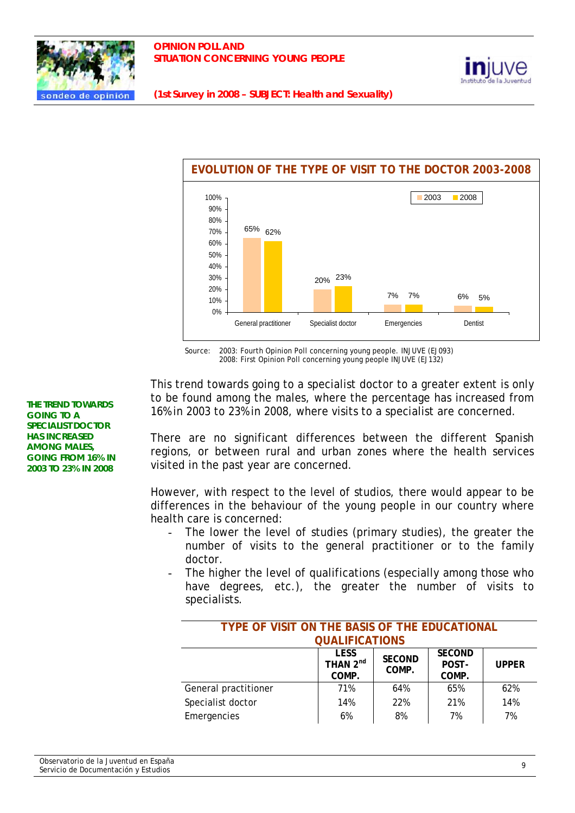





Source: 2003: Fourth Opinion Poll concerning young people. INJUVE (EJ093) 2008: First Opinion Poll concerning young people INJUVE (EJ132)

This trend towards going to a specialist doctor to a greater extent is only to be found among the males, where the percentage has increased from 16% in 2003 to 23% in 2008, where visits to a specialist are concerned.

There are no significant differences between the different Spanish regions, or between rural and urban zones where the health services visited in the past year are concerned.

However, with respect to the level of studios, there would appear to be differences in the behaviour of the young people in our country where health care is concerned:

- The lower the level of studies (primary studies), the greater the number of visits to the general practitioner or to the family doctor.
- The higher the level of qualifications (especially among those who have degrees, etc.), the greater the number of visits to specialists.

| TYPE OF VISIT ON THE BASIS OF THE EDUCATIONAL |                                              |                        |                                 |              |  |
|-----------------------------------------------|----------------------------------------------|------------------------|---------------------------------|--------------|--|
| <b>QUALIFICATIONS</b>                         |                                              |                        |                                 |              |  |
|                                               | <b>LESS</b><br>THAN 2 <sup>nd</sup><br>COMP. | <b>SECOND</b><br>COMP. | <b>SECOND</b><br>POST-<br>COMP. | <b>UPPER</b> |  |
| General practitioner                          | 71%                                          | 64%                    | 65%                             | 62%          |  |
| Specialist doctor                             | 14%                                          | 22%                    | 21%                             | 14%          |  |
| Emergencies                                   | 6%                                           | 8%                     | 7%                              | 7%           |  |

**THE TREND TOWARDS GOING TO A SPECIALIST DOCTOR HAS INCREASED AMONG MALES, GOING FROM 16% IN 2003 TO 23% IN 2008**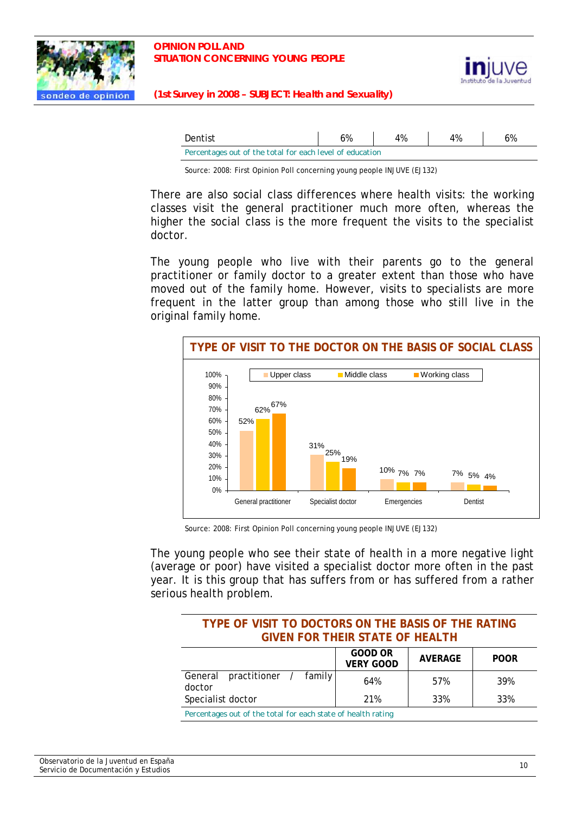



| Dentist                                                  | 6% | 4% | 4% | 6% |  |
|----------------------------------------------------------|----|----|----|----|--|
| Percentages out of the total for each level of education |    |    |    |    |  |

Source: 2008: First Opinion Poll concerning young people INJUVE (EJ132)

There are also social class differences where health visits: the working classes visit the general practitioner much more often, whereas the higher the social class is the more frequent the visits to the specialist doctor.

The young people who live with their parents go to the general practitioner or family doctor to a greater extent than those who have moved out of the family home. However, visits to specialists are more frequent in the latter group than among those who still live in the original family home.



Source: 2008: First Opinion Poll concerning young people INJUVE (EJ132)

The young people who see their state of health in a more negative light (average or poor) have visited a specialist doctor more often in the past year. It is this group that has suffers from or has suffered from a rather serious health problem.

| TYPE OF VISIT TO DOCTORS ON THE BASIS OF THE RATING<br><b>GIVEN FOR THEIR STATE OF HEALTH</b> |     |     |     |  |  |
|-----------------------------------------------------------------------------------------------|-----|-----|-----|--|--|
| GOOD OR<br><b>AVERAGE</b><br><b>POOR</b><br><b>VERY GOOD</b>                                  |     |     |     |  |  |
| practitioner / family<br>General<br>doctor                                                    | 64% | 57% | 39% |  |  |
| Specialist doctor<br>33%<br>33%<br>21%                                                        |     |     |     |  |  |
| Percentages out of the total for each state of health rating                                  |     |     |     |  |  |

*Percentages out of the total for each state of health rating*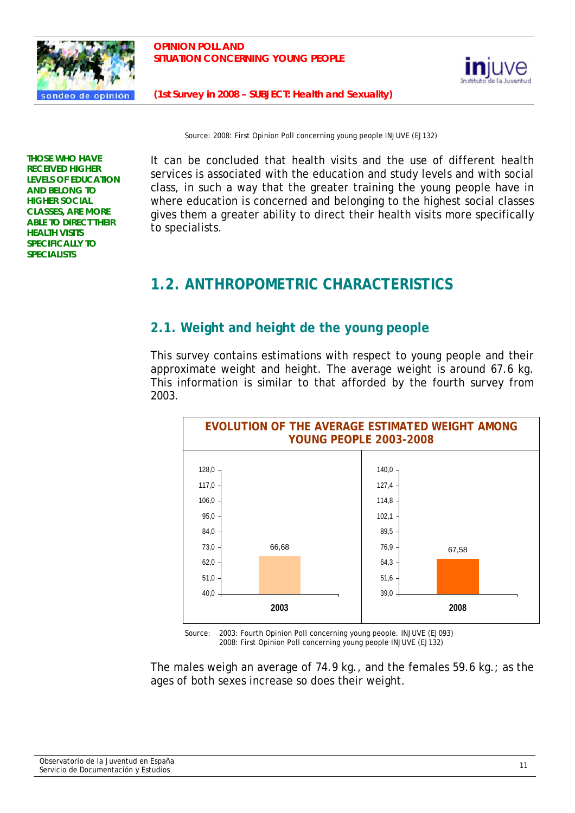



Source: 2008: First Opinion Poll concerning young people INJUVE (EJ132)

**THOSE WHO HAVE RECEIVED HIGHER LEVELS OF EDUCATION AND BELONG TO HIGHER SOCIAL CLASSES, ARE MORE ABLE TO DIRECT THEIR HEALTH VISITS SPECIFICALLY TO SPECIALISTS** 

It can be concluded that health visits and the use of different health services is associated with the education and study levels and with social class, in such a way that the greater training the young people have in where education is concerned and belonging to the highest social classes gives them a greater ability to direct their health visits more specifically to specialists.

# **1.2. ANTHROPOMETRIC CHARACTERISTICS**

# **2.1. Weight and height de the young people**

This survey contains estimations with respect to young people and their approximate weight and height. The average weight is around 67.6 kg. This information is similar to that afforded by the fourth survey from 2003.



Source: 2003: Fourth Opinion Poll concerning young people. INJUVE (EJ093) 2008: First Opinion Poll concerning young people INJUVE (EJ132)

The males weigh an average of 74.9 kg., and the females 59.6 kg.; as the ages of both sexes increase so does their weight.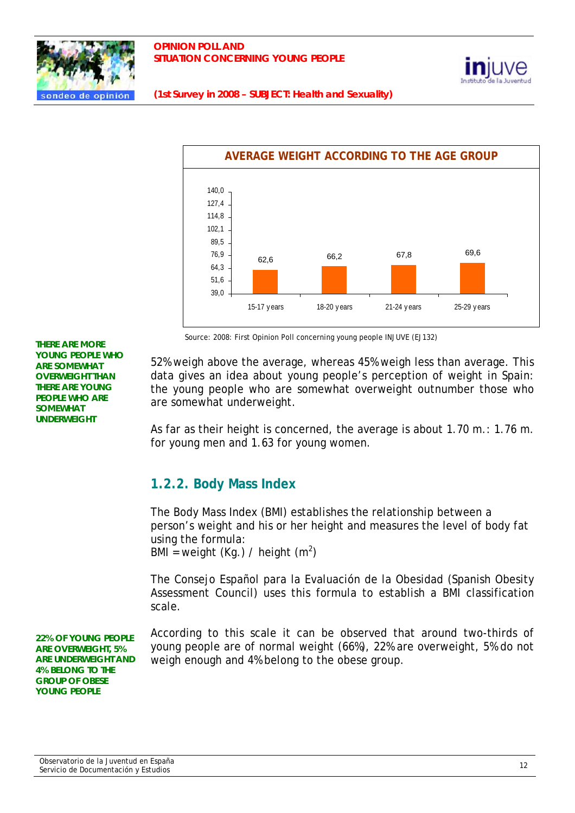





Source: 2008: First Opinion Poll concerning young people INJUVE (EJ132)

52% weigh above the average, whereas 45% weigh less than average. This data gives an idea about young people's perception of weight in Spain: the young people who are somewhat overweight outnumber those who are somewhat underweight.

As far as their height is concerned, the average is about 1.70 m.: 1.76 m. for young men and 1.63 for young women.

# **1.2.2. Body Mass Index**

The Body Mass Index (BMI) establishes the relationship between a person's weight and his or her height and measures the level of body fat using the formula: BMI = weight (Kg.) / height  $(m^2)$ 

The Consejo Español para la Evaluación de la Obesidad (Spanish Obesity Assessment Council) uses this formula to establish a BMI classification scale.

According to this scale it can be observed that around two-thirds of young people are of normal weight (66%), 22% are overweight, 5% do not weigh enough and 4% belong to the obese group.

**THERE ARE MORE YOUNG PEOPLE WHO ARE SOMEWHAT OVERWEIGHT THAN THERE ARE YOUNG PEOPLE WHO ARE SOMEWHAT UNDERWEIGHT** 

**22% OF YOUNG PEOPLE ARE OVERWEIGHT, 5% ARE UNDERWEIGHT AND 4% BELONG TO THE GROUP OF OBESE YOUNG PEOPLE**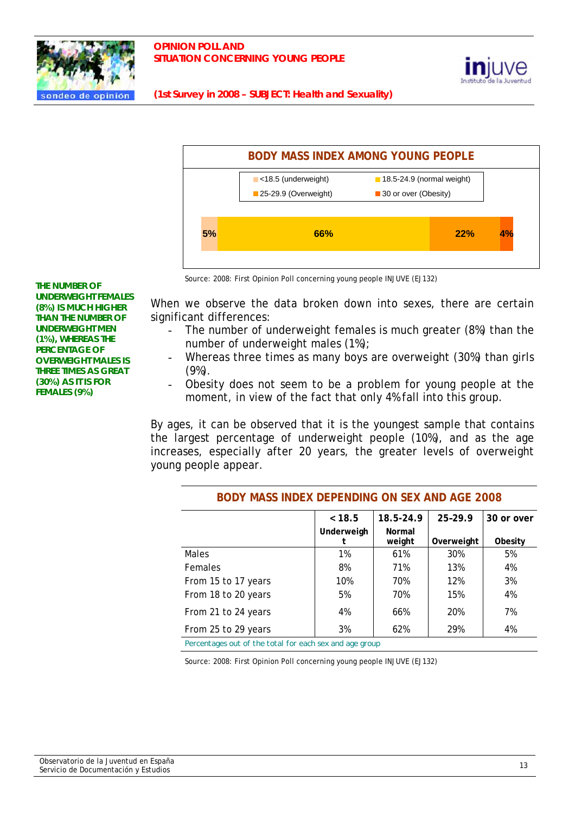





Source: 2008: First Opinion Poll concerning young people INJUVE (EJ132)

**THE NUMBER OF UNDERWEIGHT FEMALES (8%) IS MUCH HIGHER THAN THE NUMBER OF UNDERWEIGHT MEN (1%), WHEREAS THE PERCENTAGE OF OVERWEIGHT MALES IS THREE TIMES AS GREAT (30%) AS IT IS FOR FEMALES (9%)** 

When we observe the data broken down into sexes, there are certain significant differences:

- The number of underweight females is much greater (8%) than the number of underweight males (1%);
- Whereas three times as many boys are overweight (30%) than girls (9%).
- Obesity does not seem to be a problem for young people at the moment, in view of the fact that only 4% fall into this group.

By ages, it can be observed that it is the youngest sample that contains the largest percentage of underweight people (10%), and as the age increases, especially after 20 years, the greater levels of overweight young people appear.

|                     | < 18.5     | 18.5-24.9 | 25-29.9    | 30 or over |  |
|---------------------|------------|-----------|------------|------------|--|
|                     | Underweigh | Normal    |            |            |  |
|                     |            | weight    | Overweight | Obesity    |  |
| Males               | 1%         | 61%       | 30%        | 5%         |  |
| Females             | 8%         | 71%       | 13%        | 4%         |  |
| From 15 to 17 years | 10%        | 70%       | 12%        | 3%         |  |
| From 18 to 20 years | 5%         | 70%       | 15%        | 4%         |  |
| From 21 to 24 years | 4%         | 66%       | 20%        | 7%         |  |
| From 25 to 29 years | 3%         | 62%       | 29%        | 4%         |  |

#### **BODY MASS INDEX DEPENDING ON SEX AND AGE 2008**

*Percentages out of the total for each sex and age group* 

Source: 2008: First Opinion Poll concerning young people INJUVE (EJ132)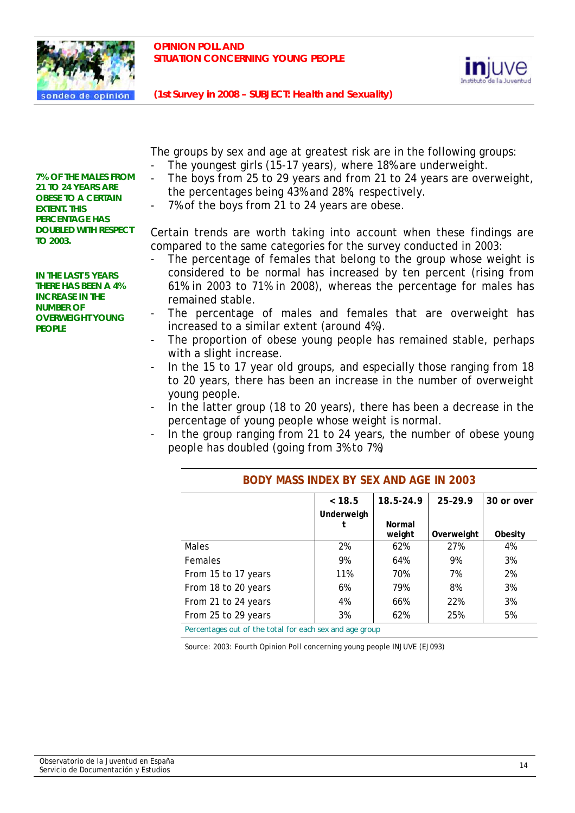



The groups by sex and age at greatest risk are in the following groups: The youngest girls (15-17 years), where 18% are underweight.

- The boys from 25 to 29 years and from 21 to 24 years are overweight, the percentages being 43% and 28%, respectively.
- 7% of the boys from 21 to 24 years are obese.

Certain trends are worth taking into account when these findings are compared to the same categories for the survey conducted in 2003:

- The percentage of females that belong to the group whose weight is considered to be normal has increased by ten percent (rising from 61% in 2003 to 71% in 2008), whereas the percentage for males has remained stable.
- The percentage of males and females that are overweight has increased to a similar extent (around 4%).
- The proportion of obese young people has remained stable, perhaps with a slight increase.
- In the 15 to 17 year old groups, and especially those ranging from 18 to 20 years, there has been an increase in the number of overweight young people.
- In the latter group (18 to 20 years), there has been a decrease in the percentage of young people whose weight is normal.
- In the group ranging from 21 to 24 years, the number of obese young people has doubled (going from 3% to 7%)

|                                                         | < 18.5     | 18.5-24.9 | 25-29.9    | 30 or over |  |  |
|---------------------------------------------------------|------------|-----------|------------|------------|--|--|
|                                                         | Underweigh |           |            |            |  |  |
|                                                         |            | Normal    |            |            |  |  |
|                                                         |            | weight    | Overweight | Obesity    |  |  |
| Males                                                   | 2%         | 62%       | 27%        | 4%         |  |  |
| <b>Females</b>                                          | 9%         | 64%       | 9%         | 3%         |  |  |
| From 15 to 17 years                                     | 11%        | 70%       | 7%         | 2%         |  |  |
| From 18 to 20 years                                     | 6%         | 79%       | 8%         | 3%         |  |  |
| From 21 to 24 years                                     | 4%         | 66%       | 22%        | 3%         |  |  |
| From 25 to 29 years                                     | 3%         | 62%       | 25%        | 5%         |  |  |
| Percentages out of the total for each sex and age group |            |           |            |            |  |  |

#### **BODY MASS INDEX BY SEX AND AGE IN 2003**

Source: 2003: Fourth Opinion Poll concerning young people INJUVE (EJ093)

**7% OF THE MALES FROM 21 TO 24 YEARS ARE OBESE TO A CERTAIN EXTENT. THIS PERCENTAGE HAS DOUBLED WITH RESPECT TO 2003.** 

**IN THE LAST 5 YEARS THERE HAS BEEN A 4% INCREASE IN THE NUMBER OF OVERWEIGHT YOUNG PEOPLE**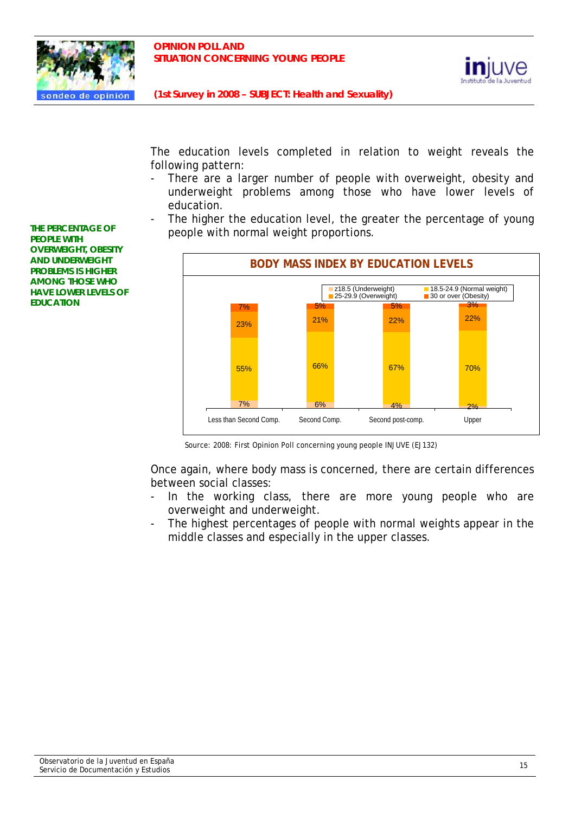



The education levels completed in relation to weight reveals the following pattern:

- There are a larger number of people with overweight, obesity and underweight problems among those who have lower levels of education.
- The higher the education level, the greater the percentage of young people with normal weight proportions.



Source: 2008: First Opinion Poll concerning young people INJUVE (EJ132)

Once again, where body mass is concerned, there are certain differences between social classes:

- In the working class, there are more young people who are overweight and underweight.
- The highest percentages of people with normal weights appear in the middle classes and especially in the upper classes.

**THE PERCENTAGE OF PEOPLE WITH OVERWEIGHT, OBESITY AND UNDERWEIGHT PROBLEMS IS HIGHER AMONG THOSE WHO HAVE LOWER LEVELS OF EDUCATION**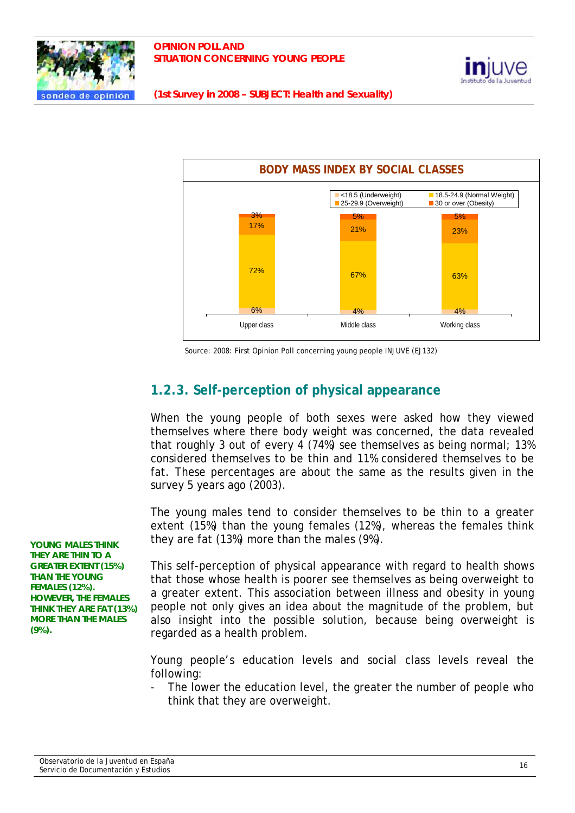





Source: 2008: First Opinion Poll concerning young people INJUVE (EJ132)

# **1.2.3. Self-perception of physical appearance**

When the young people of both sexes were asked how they viewed themselves where there body weight was concerned, the data revealed that roughly 3 out of every 4 (74%) see themselves as being normal; 13% considered themselves to be thin and 11% considered themselves to be fat. These percentages are about the same as the results given in the survey 5 years ago (2003).

The young males tend to consider themselves to be thin to a greater extent (15%) than the young females (12%), whereas the females think they are fat (13%) more than the males (9%).

This self-perception of physical appearance with regard to health shows that those whose health is poorer see themselves as being overweight to a greater extent. This association between illness and obesity in young people not only gives an idea about the magnitude of the problem, but also insight into the possible solution, because being overweight is regarded as a health problem.

Young people's education levels and social class levels reveal the following:

The lower the education level, the greater the number of people who think that they are overweight.

**YOUNG MALES THINK THEY ARE THIN TO A GREATER EXTENT (15%) THAN THE YOUNG FEMALES (12%). HOWEVER, THE FEMALES THINK THEY ARE FAT (13%) MORE THAN THE MALES (9%).**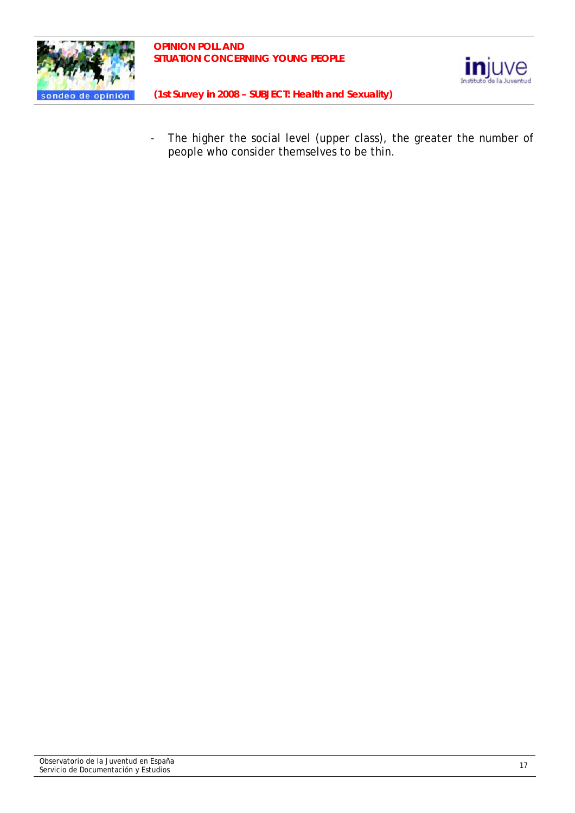



- The higher the social level (upper class), the greater the number of people who consider themselves to be thin.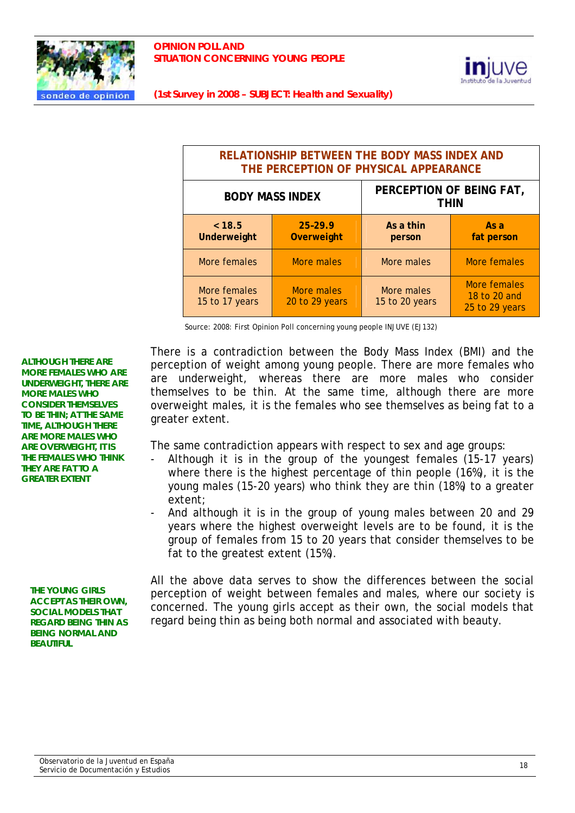



| RELATIONSHIP BETWEEN THE BODY MASS INDEX AND<br>THE PERCEPTION OF PHYSICAL APPEARANCE |                                  |                              |                                                |
|---------------------------------------------------------------------------------------|----------------------------------|------------------------------|------------------------------------------------|
| <b>BODY MASS INDEX</b>                                                                |                                  |                              | PERCEPTION OF BEING FAT,<br><b>THIN</b>        |
| < 18.5<br>Underweight                                                                 | $25 - 29.9$<br><b>Overweight</b> | As a thin<br>person          | As a<br>fat person                             |
| More females                                                                          | More males                       | More males                   | More females                                   |
| More females<br>15 to 17 years                                                        | More males<br>20 to 29 years     | More males<br>15 to 20 years | More females<br>18 to 20 and<br>25 to 29 years |

Source: 2008: First Opinion Poll concerning young people INJUVE (EJ132)

There is a contradiction between the Body Mass Index (BMI) and the perception of weight among young people. There are more females who are underweight, whereas there are more males who consider themselves to be thin. At the same time, although there are more overweight males, it is the females who see themselves as being fat to a greater extent.

The same contradiction appears with respect to sex and age groups:

- Although it is in the group of the youngest females (15-17 years) where there is the highest percentage of thin people (16%), it is the young males (15-20 years) who think they are thin (18%) to a greater extent;
- And although it is in the group of young males between 20 and 29 years where the highest overweight levels are to be found, it is the group of females from 15 to 20 years that consider themselves to be fat to the greatest extent (15%).

**THE YOUNG GIRLS ACCEPT AS THEIR OWN, SOCIAL MODELS THAT REGARD BEING THIN AS BEING NORMAL AND BEAUTIFUL** 

**ALTHOUGH THERE ARE MORE FEMALES WHO ARE UNDERWEIGHT, THERE ARE MORE MALES WHO CONSIDER THEMSELVES TO BE THIN; AT THE SAME TIME, ALTHOUGH THERE ARE MORE MALES WHO ARE OVERWEIGHT, IT IS THE FEMALES WHO THINK THEY ARE FAT TO A GREATER EXTENT** 

> All the above data serves to show the differences between the social perception of weight between females and males, where our society is concerned. The young girls accept as their own, the social models that regard being thin as being both normal and associated with beauty.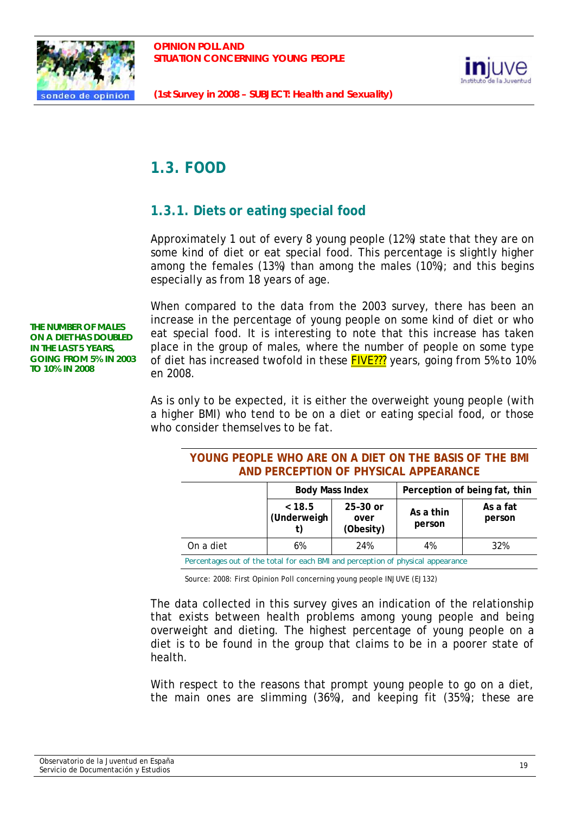



# **1.3. FOOD**

# **1.3.1. Diets or eating special food**

Approximately 1 out of every 8 young people (12%) state that they are on some kind of diet or eat special food. This percentage is slightly higher among the females (13%) than among the males (10%); and this begins especially as from 18 years of age.

**THE NUMBER OF MALES ON A DIET HAS DOUBLED IN THE LAST 5 YEARS, GOING FROM 5% IN 2003 TO 10% IN 2008** 

When compared to the data from the 2003 survey, there has been an increase in the percentage of young people on some kind of diet or who eat special food. It is interesting to note that this increase has taken place in the group of males, where the number of people on some type of diet has increased twofold in these FIVE??? years, going from 5% to 10% en 2008.

As is only to be expected, it is either the overweight young people (with a higher BMI) who tend to be on a diet or eating special food, or those who consider themselves to be fat.

| YOUNG PEOPLE WHO ARE ON A DIET ON THE BASIS OF THE BMI |  |
|--------------------------------------------------------|--|
| AND PERCEPTION OF PHYSICAL APPEARANCE                  |  |

|                                                                                | <b>Body Mass Index</b> |                                 | Perception of being fat, thin |                    |
|--------------------------------------------------------------------------------|------------------------|---------------------------------|-------------------------------|--------------------|
|                                                                                | ~< 18.5<br>(Underweigh | $25-30$ or<br>over<br>(Obesity) | As a thin<br>person           | As a fat<br>person |
| On a diet                                                                      | 6%                     | 24%                             | 4%                            | 32%                |
| Deceptions out of the total for each PMI and perception of physical appearance |                        |                                 |                               |                    |

*Percentages out of the total for each BMI and perception of physical appearance* 

Source: 2008: First Opinion Poll concerning young people INJUVE (EJ132)

The data collected in this survey gives an indication of the relationship that exists between health problems among young people and being overweight and dieting. The highest percentage of young people on a diet is to be found in the group that claims to be in a poorer state of health.

With respect to the reasons that prompt young people to go on a diet, the main ones are slimming (36%), and keeping fit (35%); these are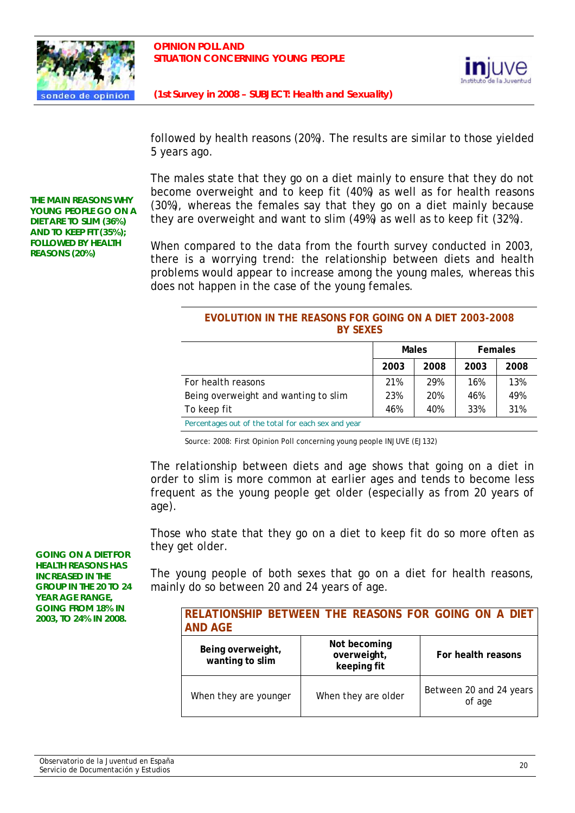



followed by health reasons (20%). The results are similar to those yielded 5 years ago.

The males state that they go on a diet mainly to ensure that they do not become overweight and to keep fit (40%) as well as for health reasons (30%), whereas the females say that they go on a diet mainly because they are overweight and want to slim (49%) as well as to keep fit (32%).

When compared to the data from the fourth survey conducted in 2003, there is a worrying trend: the relationship between diets and health problems would appear to increase among the young males, whereas this does not happen in the case of the young females.

#### **EVOLUTION IN THE REASONS FOR GOING ON A DIET 2003-2008 BY SEXES**

|                                                   | <b>Males</b> |      | <b>Females</b> |      |
|---------------------------------------------------|--------------|------|----------------|------|
|                                                   | 2003         | 2008 | 2003           | 2008 |
| For health reasons                                | 21%          | 29%  | 16%            | 13%  |
| Being overweight and wanting to slim              | 23%          | 20%  | 46%            | 49%  |
| To keep fit                                       | 46%          | 40%  | 33%            | 31%  |
| Demantages out of the total for each cay and year |              |      |                |      |

*Percentages out of the total for each sex and year* 

Source: 2008: First Opinion Poll concerning young people INJUVE (EJ132)

The relationship between diets and age shows that going on a diet in order to slim is more common at earlier ages and tends to become less frequent as the young people get older (especially as from 20 years of age).

Those who state that they go on a diet to keep fit do so more often as they get older.

The young people of both sexes that go on a diet for health reasons, mainly do so between 20 and 24 years of age.

| <b>AND AGE</b>                       | RELATIONSHIP BETWEEN THE REASONS FOR GOING ON A DIET |                                   |
|--------------------------------------|------------------------------------------------------|-----------------------------------|
| Being overweight,<br>wanting to slim | Not becoming<br>overweight,<br>keeping fit           | For health reasons                |
| When they are younger                | When they are older                                  | Between 20 and 24 years<br>of age |

**THE MAIN REASONS WHY YOUNG PEOPLE GO ON A DIET ARE TO SLIM (36%) AND TO KEEP FIT (35%); FOLLOWED BY HEALTH REASONS (20%)** 

**GOING ON A DIET FOR HEALTH REASONS HAS INCREASED IN THE GROUP IN THE 20 TO 24 YEAR AGE RANGE, GOING FROM 18% IN 2003, TO 24% IN 2008.**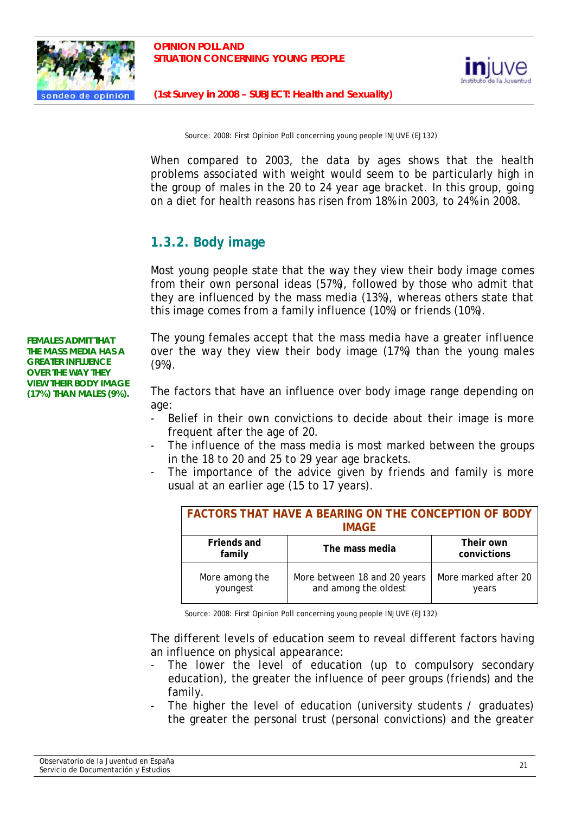



Source: 2008: First Opinion Poll concerning young people INJUVE (EJ132)

When compared to 2003, the data by ages shows that the health problems associated with weight would seem to be particularly high in the group of males in the 20 to 24 year age bracket. In this group, going on a diet for health reasons has risen from 18% in 2003, to 24% in 2008.

# **1.3.2. Body image**

Most young people state that the way they view their body image comes from their own personal ideas (57%), followed by those who admit that they are influenced by the mass media (13%), whereas others state that this image comes from a family influence (10%) or friends (10%).

**FEMALES ADMIT THAT THE MASS MEDIA HAS A GREATER INFLUENCE OVER THE WAY THEY VIEW THEIR BODY IMAGE (17%) THAN MALES (9%).** 

The young females accept that the mass media have a greater influence over the way they view their body image (17%) than the young males (9%).

The factors that have an influence over body image range depending on age:

- Belief in their own convictions to decide about their image is more frequent after the age of 20.
- The influence of the mass media is most marked between the groups in the 18 to 20 and 25 to 29 year age brackets.
- The importance of the advice given by friends and family is more usual at an earlier age (15 to 17 years).

| <b>FACTORS THAT HAVE A BEARING ON THE CONCEPTION OF BODY</b><br><b>IMAGE</b> |                                                      |                               |
|------------------------------------------------------------------------------|------------------------------------------------------|-------------------------------|
| Friends and<br>family                                                        | The mass media                                       | Their own<br>convictions      |
| More among the<br>youngest                                                   | More between 18 and 20 years<br>and among the oldest | More marked after 20<br>years |

Source: 2008: First Opinion Poll concerning young people INJUVE (EJ132)

The different levels of education seem to reveal different factors having an influence on physical appearance:

- The lower the level of education (up to compulsory secondary education), the greater the influence of peer groups (friends) and the family.
- The higher the level of education (university students / graduates) the greater the personal trust (personal convictions) and the greater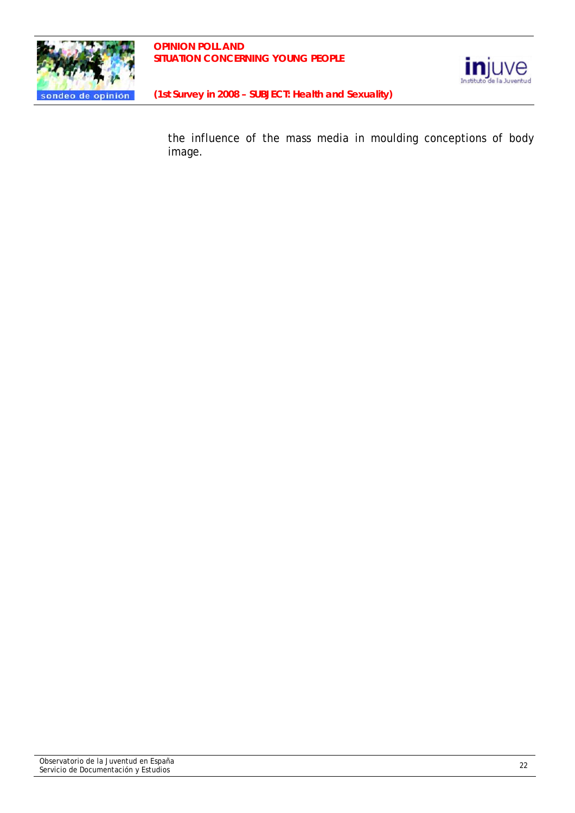



the influence of the mass media in moulding conceptions of body image.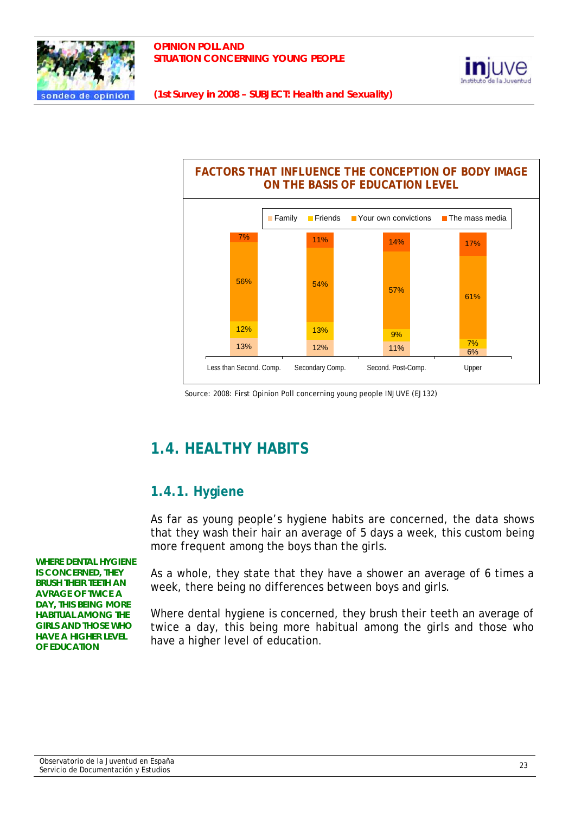





Source: 2008: First Opinion Poll concerning young people INJUVE (EJ132)

# **1.4. HEALTHY HABITS**

# **1.4.1. Hygiene**

As far as young people's hygiene habits are concerned, the data shows that they wash their hair an average of 5 days a week, this custom being more frequent among the boys than the girls.

**WHERE DENTAL HYGIENE IS CONCERNED, THEY BRUSH THEIR TEETH AN AVRAGE OF TWICE A DAY, THIS BEING MORE HABITUAL AMONG THE GIRLS AND THOSE WHO HAVE A HIGHER LEVEL OF EDUCATION** 

As a whole, they state that they have a shower an average of 6 times a week, there being no differences between boys and girls.

Where dental hygiene is concerned, they brush their teeth an average of twice a day, this being more habitual among the girls and those who have a higher level of education.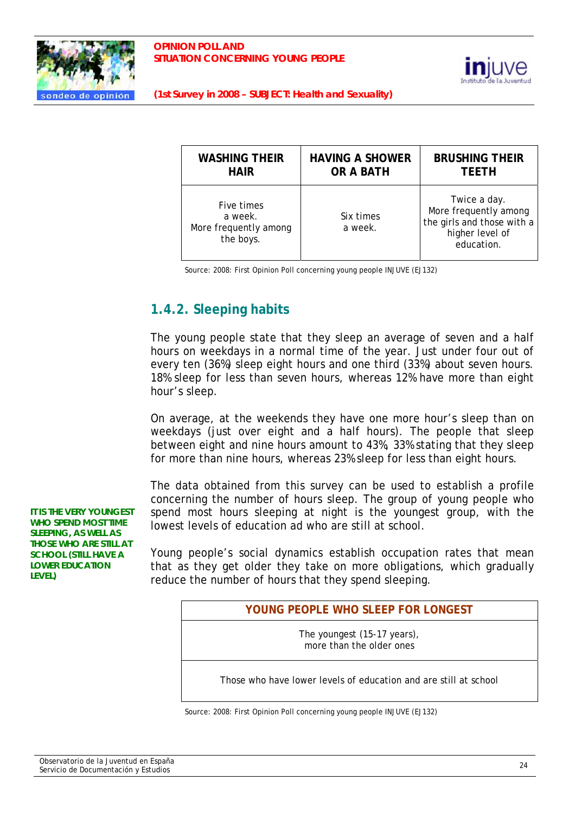



| <b>WASHING THEIR</b>                                        | <b>HAVING A SHOWER</b> | <b>BRUSHING THEIR</b>                                                                                |
|-------------------------------------------------------------|------------------------|------------------------------------------------------------------------------------------------------|
| <b>HAIR</b>                                                 | <b>OR A BATH</b>       | <b>TEETH</b>                                                                                         |
| Five times<br>a week.<br>More frequently among<br>the boys. | Six times<br>a week.   | Twice a day.<br>More frequently among<br>the girls and those with a<br>higher level of<br>education. |

Source: 2008: First Opinion Poll concerning young people INJUVE (EJ132)

# **1.4.2. Sleeping habits**

The young people state that they sleep an average of seven and a half hours on weekdays in a normal time of the year. Just under four out of every ten (36%) sleep eight hours and one third (33%) about seven hours. 18% sleep for less than seven hours, whereas 12% have more than eight hour's sleep.

On average, at the weekends they have one more hour's sleep than on weekdays (just over eight and a half hours). The people that sleep between eight and nine hours amount to 43%, 33% stating that they sleep for more than nine hours, whereas 23% sleep for less than eight hours.

The data obtained from this survey can be used to establish a profile concerning the number of hours sleep. The group of young people who spend most hours sleeping at night is the youngest group, with the lowest levels of education ad who are still at school.

Young people's social dynamics establish occupation rates that mean that as they get older they take on more obligations, which gradually reduce the number of hours that they spend sleeping.

#### **YOUNG PEOPLE WHO SLEEP FOR LONGEST**

The youngest (15-17 years), more than the older ones

Those who have lower levels of education and are still at school

Source: 2008: First Opinion Poll concerning young people INJUVE (EJ132)

**IT IS THE VERY YOUNGEST WHO SPEND MOST TIME SLEEPING, AS WELL AS THOSE WHO ARE STILL AT SCHOOL (STILL HAVE A LOWER EDUCATION LEVEL)**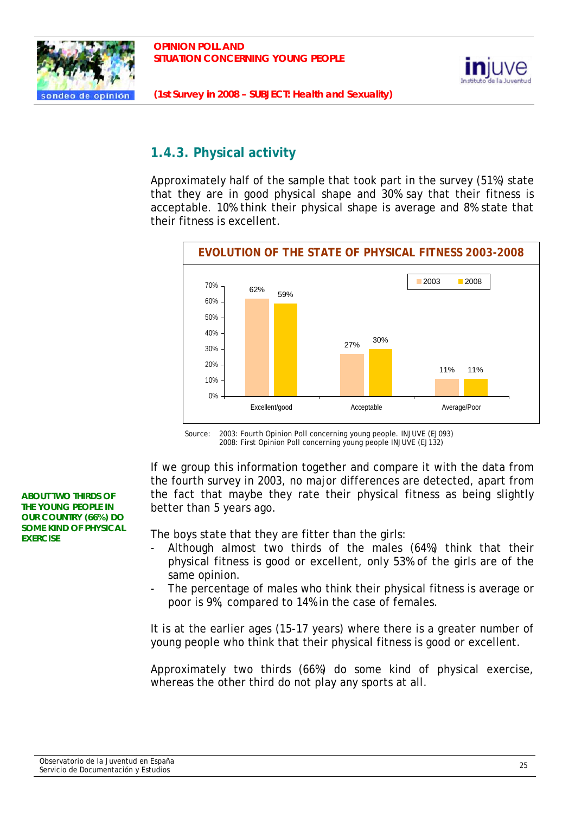



# **1.4.3. Physical activity**

Approximately half of the sample that took part in the survey (51%) state that they are in good physical shape and 30% say that their fitness is acceptable. 10% think their physical shape is average and 8% state that their fitness is excellent.



Source: 2003: Fourth Opinion Poll concerning young people. INJUVE (EJ093) 2008: First Opinion Poll concerning young people INJUVE (EJ132)

If we group this information together and compare it with the data from the fourth survey in 2003, no major differences are detected, apart from the fact that maybe they rate their physical fitness as being slightly better than 5 years ago.

The boys state that they are fitter than the girls:

- Although almost two thirds of the males (64%) think that their physical fitness is good or excellent, only 53% of the girls are of the same opinion.
- The percentage of males who think their physical fitness is average or poor is 9%, compared to 14% in the case of females.

It is at the earlier ages (15-17 years) where there is a greater number of young people who think that their physical fitness is good or excellent.

Approximately two thirds (66%) do some kind of physical exercise, whereas the other third do not play any sports at all.

**ABOUT TWO THIRDS OF THE YOUNG PEOPLE IN OUR COUNTRY (66%) DO SOME KIND OF PHYSICAL EXERCISE**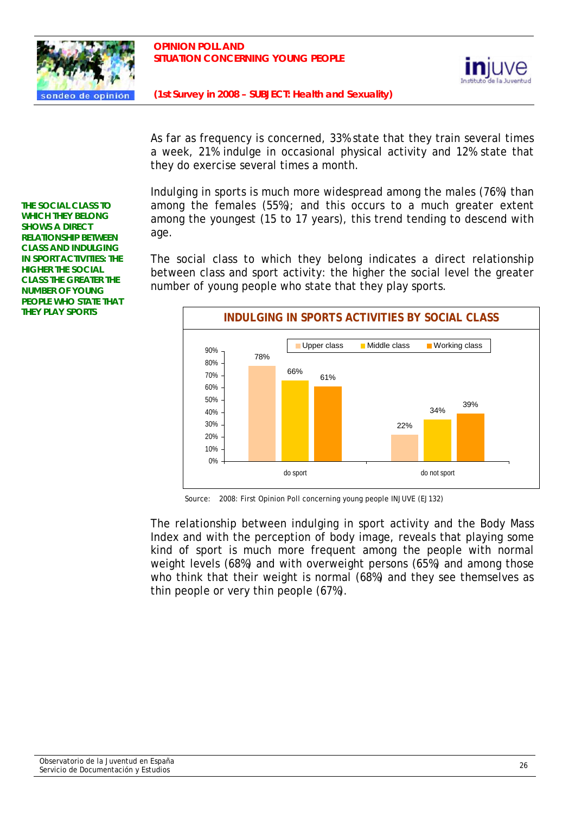



As far as frequency is concerned, 33% state that they train several times a week, 21% indulge in occasional physical activity and 12% state that they do exercise several times a month.

Indulging in sports is much more widespread among the males (76%) than among the females (55%); and this occurs to a much greater extent among the youngest (15 to 17 years), this trend tending to descend with age.

The social class to which they belong indicates a direct relationship between class and sport activity: the higher the social level the greater number of young people who state that they play sports.



Source: 2008: First Opinion Poll concerning young people INJUVE (EJ132)

The relationship between indulging in sport activity and the Body Mass Index and with the perception of body image, reveals that playing some kind of sport is much more frequent among the people with normal weight levels (68%) and with overweight persons (65%) and among those who think that their weight is normal (68%) and they see themselves as thin people or very thin people (67%).

**THE SOCIAL CLASS TO WHICH THEY BELONG SHOWS A DIRECT RELATIONSHIP BETWEEN CLASS AND INDULGING IN SPORT ACTIVITIES: THE HIGHER THE SOCIAL CLASS THE GREATER THE NUMBER OF YOUNG PEOPLE WHO STATE THAT THEY PLAY SPORTS**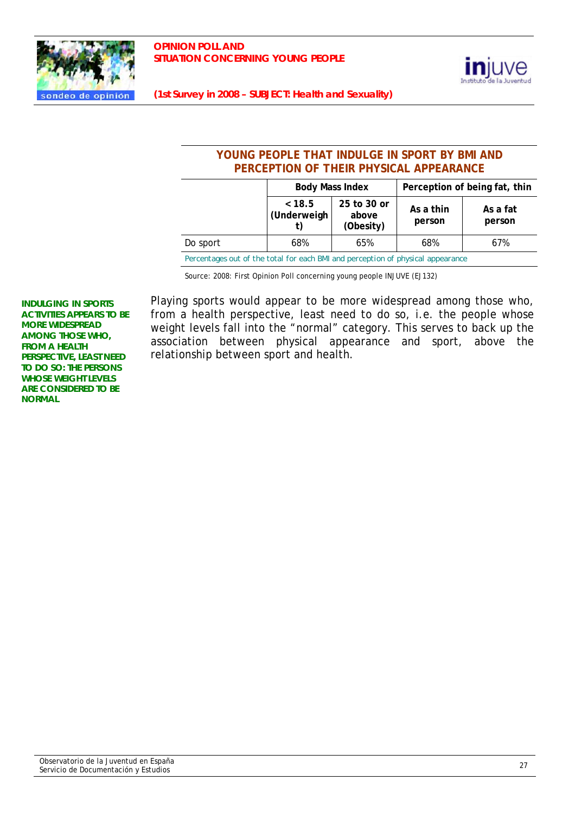



## **YOUNG PEOPLE THAT INDULGE IN SPORT BY BMI AND PERCEPTION OF THEIR PHYSICAL APPEARANCE**

|          | <b>Body Mass Index</b> |                                   | Perception of being fat, thin |                    |  |
|----------|------------------------|-----------------------------------|-------------------------------|--------------------|--|
|          | < 18.5<br>(Underweigh  | 25 to 30 or<br>above<br>(Obesity) | As a thin<br>person           | As a fat<br>person |  |
| Do sport | 68%                    | 65%                               | 68%                           | 67%                |  |
|          |                        |                                   |                               |                    |  |

*Percentages out of the total for each BMI and perception of physical appearance* 

Source: 2008: First Opinion Poll concerning young people INJUVE (EJ132)

**INDULGING IN SPORTS ACTIVITIES APPEARS TO BE MORE WIDESPREAD AMONG THOSE WHO, FROM A HEALTH PERSPECTIVE, LEAST NEED TO DO SO: THE PERSONS WHOSE WEIGHT LEVELS ARE CONSIDERED TO BE NORMAL** 

Playing sports would appear to be more widespread among those who, from a health perspective, least need to do so, i.e. the people whose weight levels fall into the "normal" category. This serves to back up the association between physical appearance and sport, above the relationship between sport and health.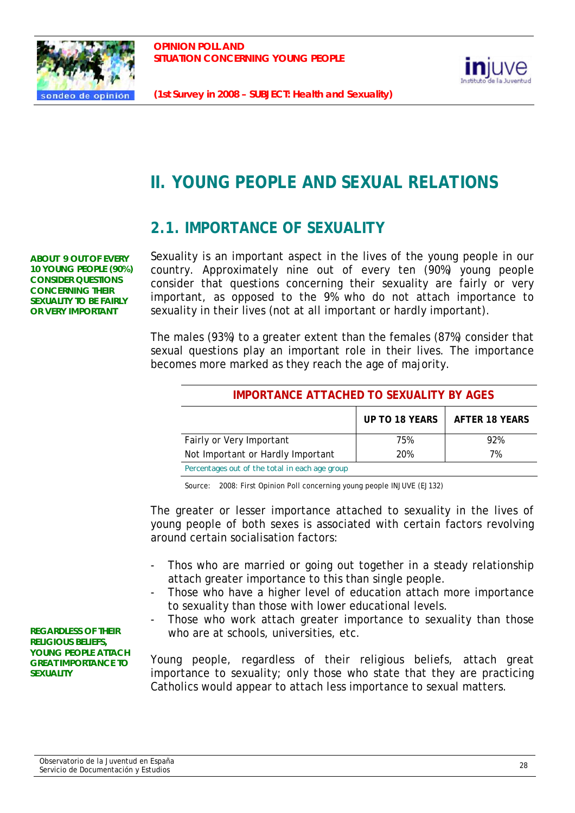



# **II. YOUNG PEOPLE AND SEXUAL RELATIONS**

# **2.1. IMPORTANCE OF SEXUALITY**

**ABOUT 9 OUT OF EVERY 10 YOUNG PEOPLE (90%) CONSIDER QUESTIONS CONCERNING THEIR SEXUALITY TO BE FAIRLY OR VERY IMPORTANT** 

Sexuality is an important aspect in the lives of the young people in our country. Approximately nine out of every ten (90%) young people consider that questions concerning their sexuality are fairly or very important, as opposed to the 9% who do not attach importance to sexuality in their lives (not at all important or hardly important).

The males (93%) to a greater extent than the females (87%) consider that sexual questions play an important role in their lives. The importance becomes more marked as they reach the age of majority.

| <b>IMPORTANCE ATTACHED TO SEXUALITY BY AGES</b> |     |     |  |  |
|-------------------------------------------------|-----|-----|--|--|
| UP TO 18 YEARS<br><b>AFTER 18 YEARS</b>         |     |     |  |  |
| Fairly or Very Important                        | 75% | 92% |  |  |
| Not Important or Hardly Important               | 20% | 7%  |  |  |
| Percentages out of the total in each age group  |     |     |  |  |

Source: 2008: First Opinion Poll concerning young people INJUVE (EJ132)

The greater or lesser importance attached to sexuality in the lives of young people of both sexes is associated with certain factors revolving around certain socialisation factors:

- Thos who are married or going out together in a steady relationship attach greater importance to this than single people.
- Those who have a higher level of education attach more importance to sexuality than those with lower educational levels.
- Those who work attach greater importance to sexuality than those who are at schools, universities, etc.

Young people, regardless of their religious beliefs, attach great importance to sexuality; only those who state that they are practicing Catholics would appear to attach less importance to sexual matters.

**REGARDLESS OF THEIR RELIGIOUS BELIEFS, YOUNG PEOPLE ATTACH GREAT IMPORTANCE TO SEXUALITY**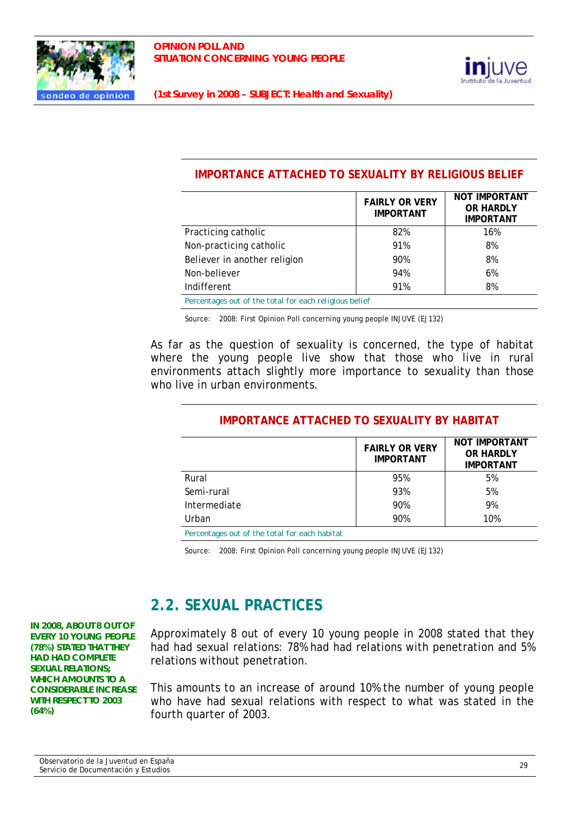



#### **IMPORTANCE ATTACHED TO SEXUALITY BY RELIGIOUS BELIEF**

|                                                        | <b>FAIRLY OR VERY</b><br><b>IMPORTANT</b> | <b>NOT IMPORTANT</b><br><b>OR HARDLY</b><br><b>IMPORTANT</b> |
|--------------------------------------------------------|-------------------------------------------|--------------------------------------------------------------|
| Practicing catholic                                    | 82%                                       | 16%                                                          |
| Non-practicing catholic                                | 91%                                       | 8%                                                           |
| Believer in another religion                           | 90%                                       | 8%                                                           |
| Non-believer                                           | 94%                                       | 6%                                                           |
| Indifferent                                            | 91%                                       | 8%                                                           |
| Percentages out of the total for each religious belief |                                           |                                                              |

Source: 2008: First Opinion Poll concerning young people INJUVE (EJ132)

As far as the question of sexuality is concerned, the type of habitat where the young people live show that those who live in rural environments attach slightly more importance to sexuality than those who live in urban environments.

|              | <b>FAIRLY OR VERY</b><br><b>IMPORTANT</b> | <b>NOT IMPORTANT</b><br>OR HARDLY<br><b>IMPORTANT</b> |
|--------------|-------------------------------------------|-------------------------------------------------------|
| Rural        | 95%                                       | 5%                                                    |
| Semi-rural   | 93%                                       | 5%                                                    |
| Intermediate | 90%                                       | 9%                                                    |
| Urban        | 90%                                       | 10%                                                   |

# **IMPORTANCE ATTACHED TO SEXUALITY BY HABITAT**

*Percentages out of the total for each habitat* 

Source: 2008: First Opinion Poll concerning young people INJUVE (EJ132)

# **2.2. SEXUAL PRACTICES**

Approximately 8 out of every 10 young people in 2008 stated that they had had sexual relations: 78% had had relations with penetration and 5% relations without penetration.

This amounts to an increase of around 10% the number of young people who have had sexual relations with respect to what was stated in the fourth quarter of 2003.

**IN 2008, ABOUT 8 OUT OF EVERY 10 YOUNG PEOPLE (78%) STATED THAT THEY HAD HAD COMPLETE SEXUAL RELATIONS; WHICH AMOUNTS TO A CONSIDERABLE INCREASE WITH RESPECT TO 2003 (64%)**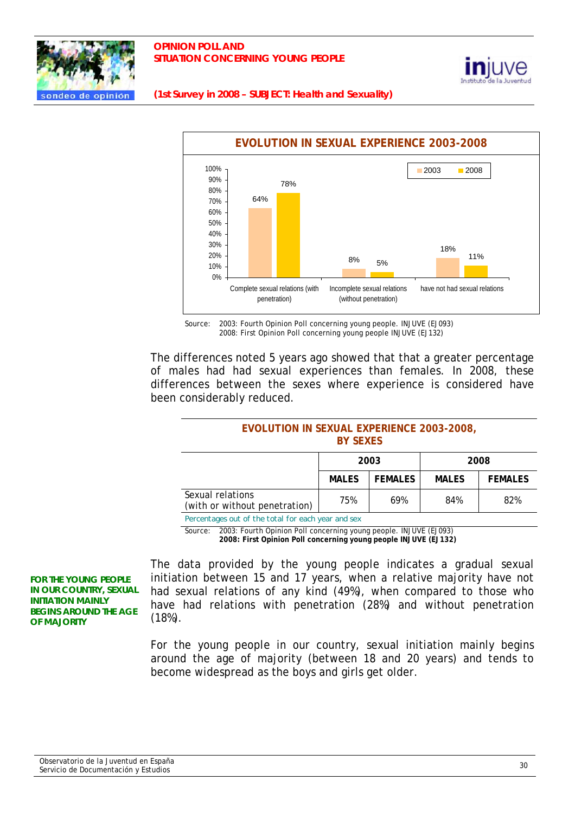

#### **OPINION POLL AND SITUATION CONCERNING YOUNG PEOPLE**



**(1st Survey in 2008 – SUBJECT: Health and Sexuality)** 



Source: 2003: Fourth Opinion Poll concerning young people. INJUVE (EJ093) 2008: First Opinion Poll concerning young people INJUVE (EJ132)

The differences noted 5 years ago showed that that a greater percentage of males had had sexual experiences than females. In 2008, these differences between the sexes where experience is considered have been considerably reduced.

#### **EVOLUTION IN SEXUAL EXPERIENCE 2003-2008, BY SEXES**

| <b>FEMALES</b><br><b>MALES</b><br><b>MALES</b><br>Sexual relations |                               | 2003 |     | 2008 |                |
|--------------------------------------------------------------------|-------------------------------|------|-----|------|----------------|
|                                                                    |                               |      |     |      | <b>FEMALES</b> |
|                                                                    | (with or without penetration) | 75%  | 69% | 84%  | 82%            |

*Percentages out of the total for each year and sex* 

Source: 2003: Fourth Opinion Poll concerning young people. INJUVE (EJ093)

 **2008: First Opinion Poll concerning young people INJUVE (EJ132)**

**FOR THE YOUNG PEOPLE IN OUR COUNTRY, SEXUAL INITIATION MAINLY BEGINS AROUND THE AGE OF MAJORITY** 

The data provided by the young people indicates a gradual sexual initiation between 15 and 17 years, when a relative majority have not had sexual relations of any kind (49%), when compared to those who have had relations with penetration (28%) and without penetration (18%).

For the young people in our country, sexual initiation mainly begins around the age of majority (between 18 and 20 years) and tends to become widespread as the boys and girls get older.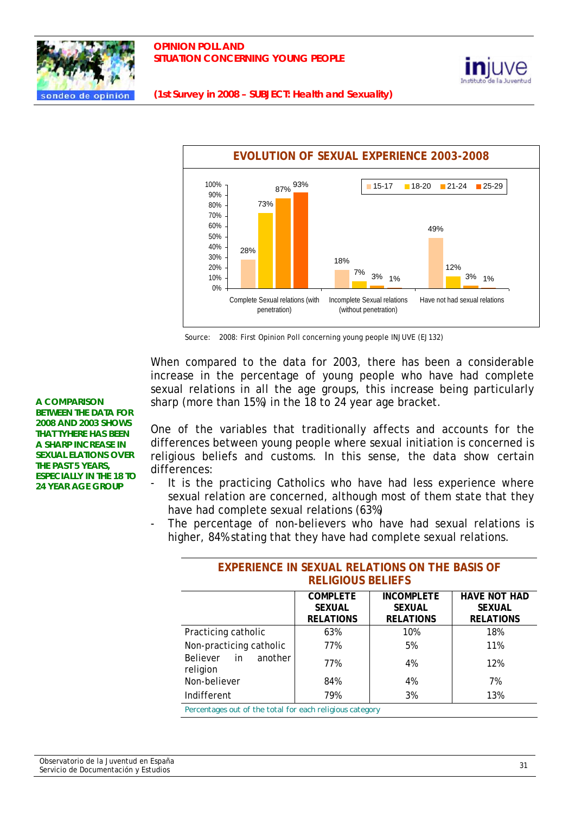

#### **OPINION POLL AND SITUATION CONCERNING YOUNG PEOPLE**



**(1st Survey in 2008 – SUBJECT: Health and Sexuality)** 



Source: 2008: First Opinion Poll concerning young people INJUVE (EJ132)

When compared to the data for 2003, there has been a considerable increase in the percentage of young people who have had complete sexual relations in all the age groups, this increase being particularly sharp (more than 15%) in the 18 to 24 year age bracket.

One of the variables that traditionally affects and accounts for the differences between young people where sexual initiation is concerned is religious beliefs and customs. In this sense, the data show certain differences:

- It is the practicing Catholics who have had less experience where sexual relation are concerned, although most of them state that they have had complete sexual relations (63%)
- The percentage of non-believers who have had sexual relations is higher, 84% stating that they have had complete sexual relations.

| EALENIENVE IN JEAUAE NEEATIVINJ VII TITE DAJIJ VI        |                                                      |                                                        |                                                          |  |  |
|----------------------------------------------------------|------------------------------------------------------|--------------------------------------------------------|----------------------------------------------------------|--|--|
| <b>RELIGIOUS BELIEFS</b>                                 |                                                      |                                                        |                                                          |  |  |
|                                                          | <b>COMPLETE</b><br><b>SEXUAL</b><br><b>RELATIONS</b> | <b>INCOMPLETE</b><br><b>SEXUAL</b><br><b>RELATIONS</b> | <b>HAVE NOT HAD</b><br><b>SEXUAL</b><br><b>RELATIONS</b> |  |  |
| Practicing catholic                                      | 63%                                                  | 10%                                                    | 18%                                                      |  |  |
| Non-practicing catholic                                  | 77%                                                  | 5%                                                     | 11%                                                      |  |  |
| <b>Believer</b><br>in.<br>another<br>religion            | 77%                                                  | 4%                                                     | 12%                                                      |  |  |
| Non-believer                                             | 84%                                                  | 4%                                                     | 7%                                                       |  |  |
| Indifferent                                              | 79%                                                  | 3%                                                     | 13%                                                      |  |  |
| Percentages out of the total for each religious category |                                                      |                                                        |                                                          |  |  |

# EXPERIENCE IN SEXUAL RELATIONS ON THE BASIS OF

Observatorio de la Juventud en España Observatorio de la Juventud en España.<br>Servicio de Documentación y Estudios 31

**BETWEEN THE DATA FOR 2008 AND 2003 SHOWS THAT TYHERE HAS BEEN A SHARP INCREASE IN SEXUAL ELATIONS OVER THE PAST 5 YEARS, ESPECIALLY IN THE 18 TO 24 YEAR AGE GROUP** 

**A COMPARISON**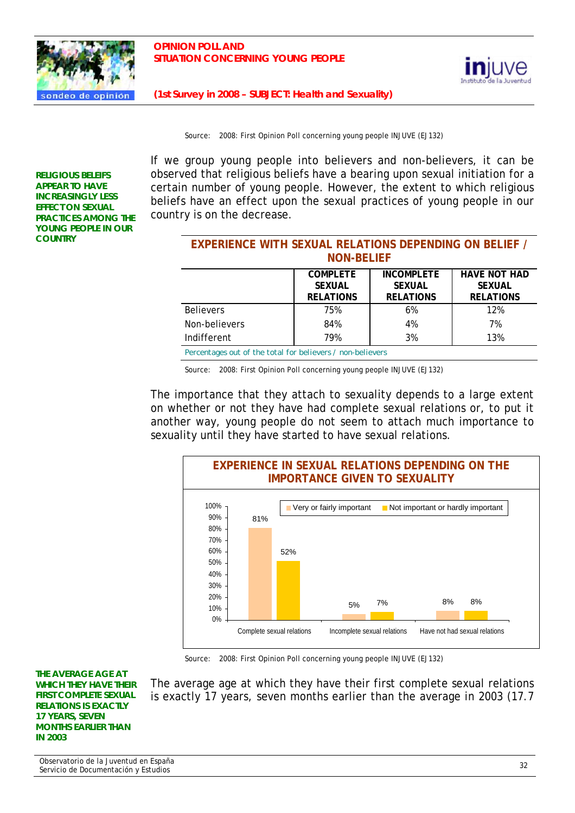



Source: 2008: First Opinion Poll concerning young people INJUVE (EJ132)

**RELIGIOUS BELEIFS APPEAR TO HAVE INCREASINGLY LESS EFFECT ON SEXUAL PRACTICES AMONG THE YOUNG PEOPLE IN OUR COUNTRY** 

If we group young people into believers and non-believers, it can be observed that religious beliefs have a bearing upon sexual initiation for a certain number of young people. However, the extent to which religious beliefs have an effect upon the sexual practices of young people in our country is on the decrease.

| <b>EXPERIENCE WITH SEXUAL RELATIONS DEPENDING ON BELIEF /</b><br><b>NON-BELIEF</b>                                                                                         |     |    |     |  |  |
|----------------------------------------------------------------------------------------------------------------------------------------------------------------------------|-----|----|-----|--|--|
| <b>HAVE NOT HAD</b><br><b>INCOMPLETE</b><br><b>COMPLETE</b><br><b>SEXUAL</b><br><b>SEXUAL</b><br><b>SEXUAL</b><br><b>RELATIONS</b><br><b>RELATIONS</b><br><b>RELATIONS</b> |     |    |     |  |  |
| <b>Believers</b>                                                                                                                                                           | 75% | 6% | 12% |  |  |
| Non-believers                                                                                                                                                              | 84% | 4% | 7%  |  |  |
| 3%<br>79%<br>13%<br>Indifferent                                                                                                                                            |     |    |     |  |  |
| Percentages out of the total for believers / non-believers                                                                                                                 |     |    |     |  |  |

Source: 2008: First Opinion Poll concerning young people INJUVE (EJ132)

The importance that they attach to sexuality depends to a large extent on whether or not they have had complete sexual relations or, to put it another way, young people do not seem to attach much importance to sexuality until they have started to have sexual relations.



Source: 2008: First Opinion Poll concerning young people INJUVE (EJ132)

**THE AVERAGE AGE AT WHICH THEY HAVE THEIR FIRST COMPLETE SEXUAL RELATIONS IS EXACTLY 17 YEARS, SEVEN MONTHS EARLIER THAN IN 2003** 

The average age at which they have their first complete sexual relations is exactly 17 years, seven months earlier than the average in 2003 (17.7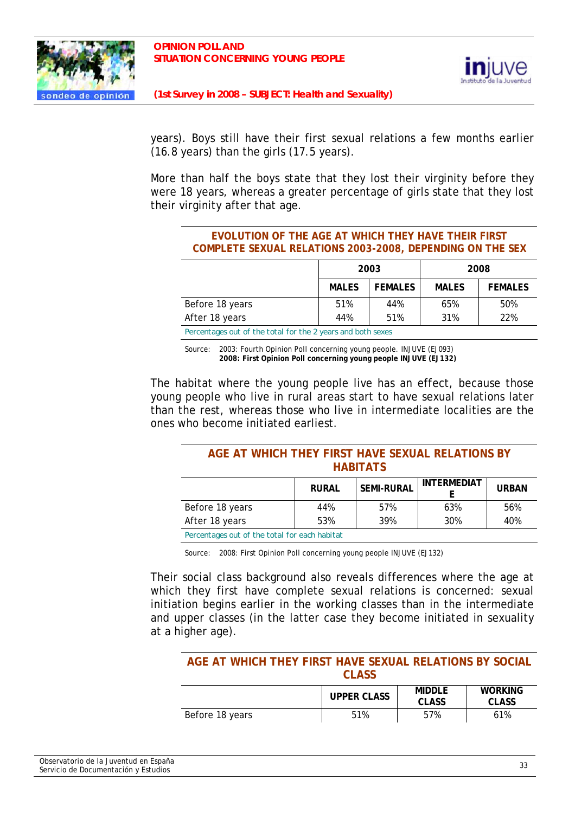



years). Boys still have their first sexual relations a few months earlier (16.8 years) than the girls (17.5 years).

More than half the boys state that they lost their virginity before they were 18 years, whereas a greater percentage of girls state that they lost their virginity after that age.

| EVOLUTION OF THE AGE AT WHICH THEY HAVE THEIR FIRST              |      |      |  |  |
|------------------------------------------------------------------|------|------|--|--|
| <b>COMPLETE SEXUAL RELATIONS 2003-2008, DEPENDING ON THE SEX</b> |      |      |  |  |
|                                                                  | 2003 | 2008 |  |  |

|                                                            | 2003         |                | 2008         |                |
|------------------------------------------------------------|--------------|----------------|--------------|----------------|
|                                                            | <b>MALES</b> | <b>FEMALES</b> | <b>MALES</b> | <b>FEMALES</b> |
| Before 18 years                                            | 51%          | 44%            | 65%          | 50%            |
| After 18 years                                             | 44%          | 51%            | 31%          | 22%            |
| Decentrage out of the total for the 2 years and both seves |              |                |              |                |

*Percentages out of the total for the 2 years and both sexes* 

Source: 2003: Fourth Opinion Poll concerning young people. INJUVE (EJ093)  **2008: First Opinion Poll concerning young people INJUVE (EJ132)**

The habitat where the young people live has an effect, because those young people who live in rural areas start to have sexual relations later than the rest, whereas those who live in intermediate localities are the ones who become initiated earliest.

#### **AGE AT WHICH THEY FIRST HAVE SEXUAL RELATIONS BY HABITATS**

|                                               | <b>RURAL</b> | SEMI-RURAL | INTERMEDIAT | <b>URBAN</b> |  |
|-----------------------------------------------|--------------|------------|-------------|--------------|--|
| Before 18 years                               | 44%          | 57%        | 63%         | 56%          |  |
| After 18 years                                | 53%          | 39%        | 30%         | 40%          |  |
| Dercentages out of the total for each habitat |              |            |             |              |  |

*Percentages out of the total for each habitat* 

Source: 2008: First Opinion Poll concerning young people INJUVE (EJ132)

Their social class background also reveals differences where the age at which they first have complete sexual relations is concerned: sexual initiation begins earlier in the working classes than in the intermediate and upper classes (in the latter case they become initiated in sexuality at a higher age).

#### **AGE AT WHICH THEY FIRST HAVE SEXUAL RELATIONS BY SOCIAL CLASS**

|                 | <b>UPPER CLASS</b> | <b>MIDDLE</b><br><b>CLASS</b> | <b>WORKING</b><br><b>CLASS</b> |
|-----------------|--------------------|-------------------------------|--------------------------------|
| Before 18 years | 51%                | 57%                           | 61%                            |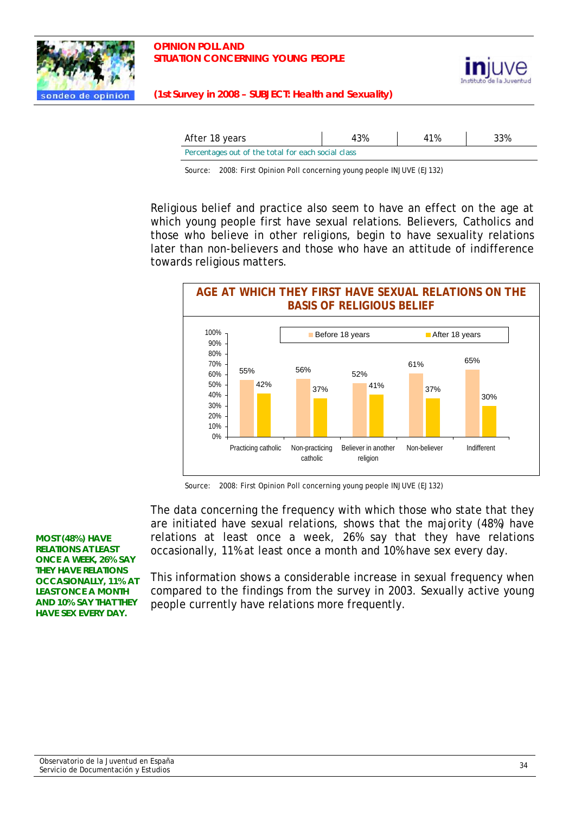



| After 18 years                                     | 43% | 41% | 33% |
|----------------------------------------------------|-----|-----|-----|
| Percentages out of the total for each social class |     |     |     |

Source: 2008: First Opinion Poll concerning young people INJUVE (EJ132)

Religious belief and practice also seem to have an effect on the age at which young people first have sexual relations. Believers, Catholics and those who believe in other religions, begin to have sexuality relations later than non-believers and those who have an attitude of indifference towards religious matters.



Source: 2008: First Opinion Poll concerning young people INJUVE (EJ132)

The data concerning the frequency with which those who state that they are initiated have sexual relations, shows that the majority (48%) have relations at least once a week, 26% say that they have relations occasionally, 11% at least once a month and 10% have sex every day.

This information shows a considerable increase in sexual frequency when compared to the findings from the survey in 2003. Sexually active young people currently have relations more frequently.

**MOST (48%) HAVE RELATIONS AT LEAST ONCE A WEEK, 26% SAY THEY HAVE RELATIONS OCCASIONALLY, 11% AT LEAST ONCE A MONTH AND 10% SAY THAT THEY HAVE SEX EVERY DAY.**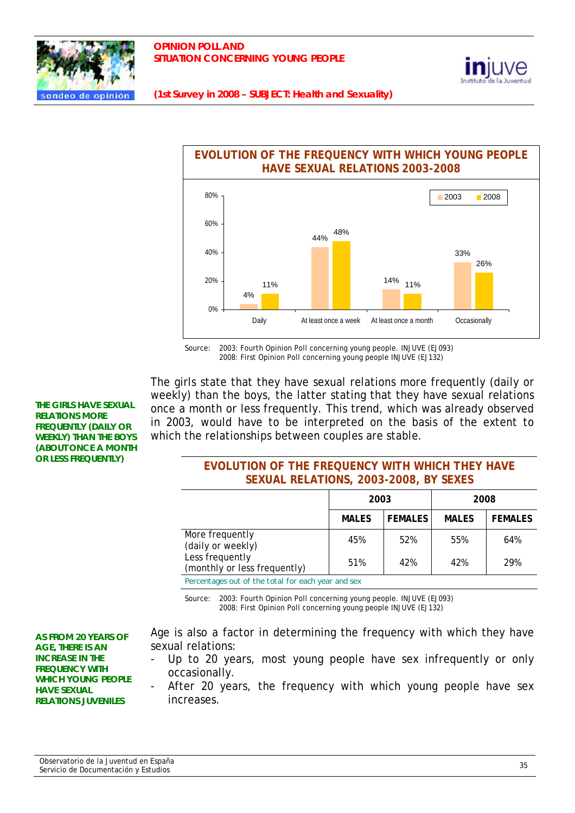





Source: 2003: Fourth Opinion Poll concerning young people. INJUVE (EJ093) 2008: First Opinion Poll concerning young people INJUVE (EJ132)

The girls state that they have sexual relations more frequently (daily or weekly) than the boys, the latter stating that they have sexual relations once a month or less frequently. This trend, which was already observed in 2003, would have to be interpreted on the basis of the extent to which the relationships between couples are stable.

### **EVOLUTION OF THE FREQUENCY WITH WHICH THEY HAVE SEXUAL RELATIONS, 2003-2008, BY SEXES**

|                                                    | 2003         |                | 2008         |                |
|----------------------------------------------------|--------------|----------------|--------------|----------------|
|                                                    | <b>MALES</b> | <b>FEMALES</b> | <b>MALES</b> | <b>FEMALES</b> |
| More frequently<br>(daily or weekly)               | 45%          | 52%            | 55%          | 64%            |
| Less frequently<br>(monthly or less frequently)    | 51%          | 42%            | 42%          | 29%            |
| Percentages out of the total for each year and sex |              |                |              |                |

*Percentages out of the total for each year and sex* 

Source: 2003: Fourth Opinion Poll concerning young people. INJUVE (EJ093) 2008: First Opinion Poll concerning young people INJUVE (EJ132)

**AS FROM 20 YEARS OF AGE, THERE IS AN INCREASE IN THE FREQUENCY WITH WHICH YOUNG PEOPLE HAVE SEXUAL RELATIONS JUVENILES** 

**THE GIRLS HAVE SEXUAL RELATIONS MORE FREQUENTLY (DAILY OR WEEKLY) THAN THE BOYS (ABOUT ONCE A MONTH OR LESS FREQUENTLY)** 

> Age is also a factor in determining the frequency with which they have sexual relations:

- Up to 20 years, most young people have sex infrequently or only occasionally.
- After 20 years, the frequency with which young people have sex increases.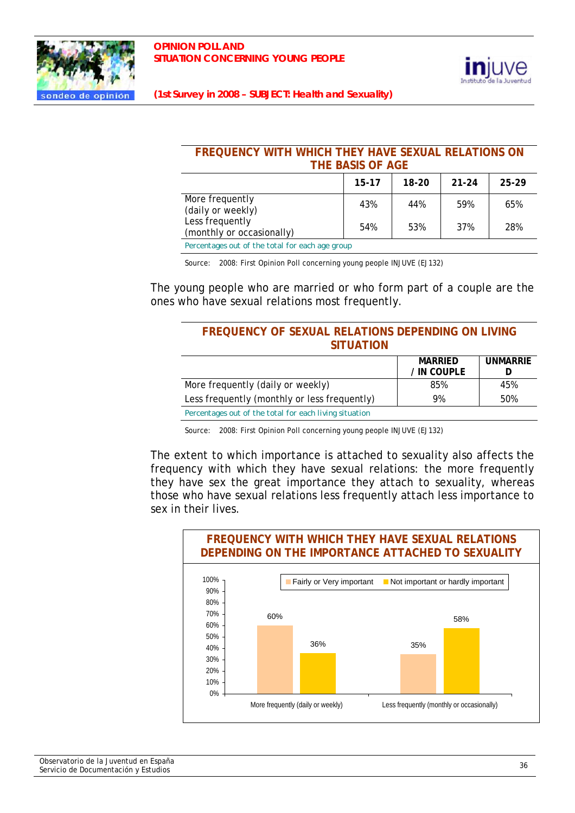



#### **FREQUENCY WITH WHICH THEY HAVE SEXUAL RELATIONS ON THE BASIS OF AGE**

|                                                     | $15 - 17$ | $18-20$ | $21 - 24$ | 25-29 |
|-----------------------------------------------------|-----------|---------|-----------|-------|
| More frequently<br>(daily or weekly)                | 43%       | 44%     | 59%       | 65%   |
| Less frequently<br>(monthly or occasionally)        | 54%       | 53%     | 37%       | 28%   |
| Departments and of the total few soals and position |           |         |           |       |

*Percentages out of the total for each age group* 

Source: 2008: First Opinion Poll concerning young people INJUVE (EJ132)

The young people who are married or who form part of a couple are the ones who have sexual relations most frequently.

#### **FREQUENCY OF SEXUAL RELATIONS DEPENDING ON LIVING SITUATION**

|                                                        | <b>MARRIED</b> | <b>UNMARRIE</b> |
|--------------------------------------------------------|----------------|-----------------|
|                                                        | / IN COUPLE    |                 |
| More frequently (daily or weekly)                      | 85%            | 45%             |
| Less frequently (monthly or less frequently)           | 9%             | 50%             |
| Percentages out of the total for each living situation |                |                 |

Source: 2008: First Opinion Poll concerning young people INJUVE (EJ132)

The extent to which importance is attached to sexuality also affects the frequency with which they have sexual relations: the more frequently they have sex the great importance they attach to sexuality, whereas those who have sexual relations less frequently attach less importance to sex in their lives.

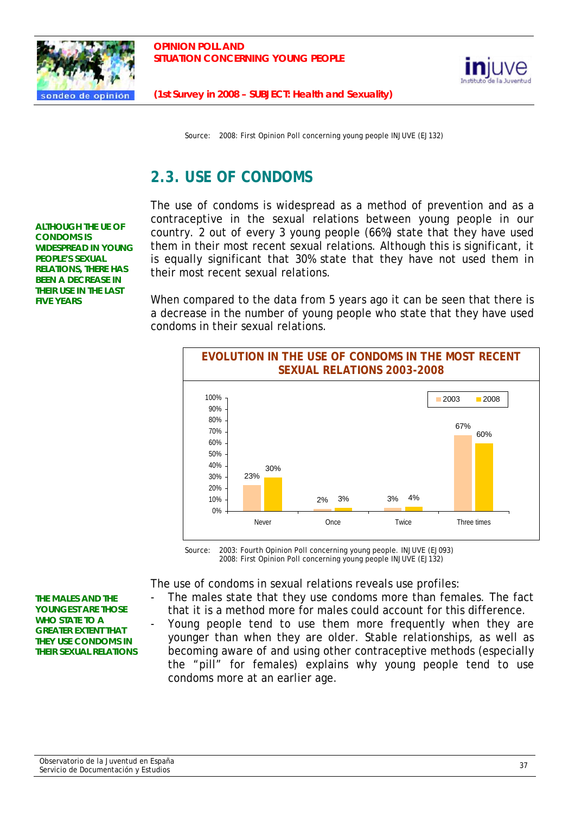



Source: 2008: First Opinion Poll concerning young people INJUVE (EJ132)

# **2.3. USE OF CONDOMS**

**ALTHOUGH THE UE OF CONDOMS IS WIDESPREAD IN YOUNG PEOPLE'S SEXUAL RELATIONS, THERE HAS BEEN A DECREASE IN THEIR USE IN THE LAST FIVE YEARS** 

The use of condoms is widespread as a method of prevention and as a contraceptive in the sexual relations between young people in our country. 2 out of every 3 young people (66%) state that they have used them in their most recent sexual relations. Although this is significant, it is equally significant that 30% state that they have not used them in their most recent sexual relations.

When compared to the data from 5 years ago it can be seen that there is a decrease in the number of young people who state that they have used condoms in their sexual relations.



Source: 2003: Fourth Opinion Poll concerning young people. INJUVE (EJ093) 2008: First Opinion Poll concerning young people INJUVE (EJ132)

The use of condoms in sexual relations reveals use profiles:

- The males state that they use condoms more than females. The fact that it is a method more for males could account for this difference.
- Young people tend to use them more frequently when they are younger than when they are older. Stable relationships, as well as becoming aware of and using other contraceptive methods (especially the "pill" for females) explains why young people tend to use condoms more at an earlier age.

**THE MALES AND THE YOUNGEST ARE THOSE WHO STATE TO A GREATER EXTENT THAT THEY USE CONDOMS IN THEIR SEXUAL RELATIONS**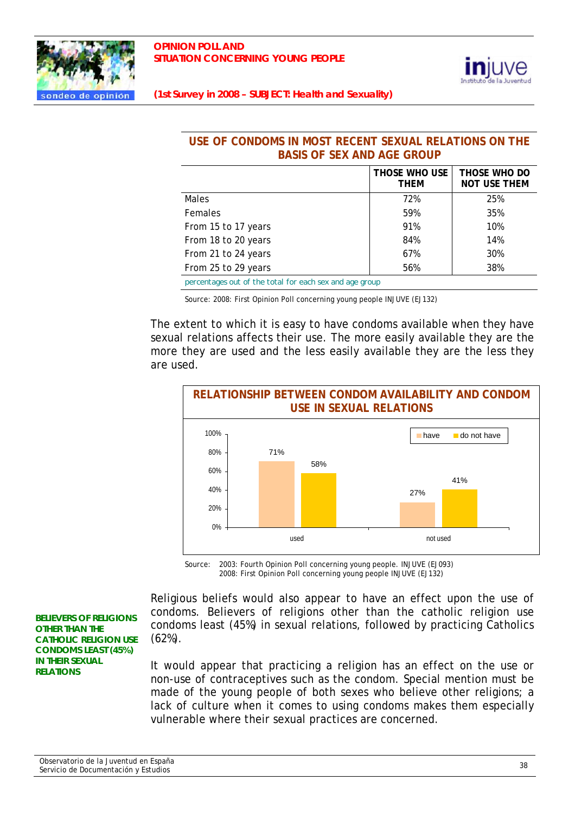



## **USE OF CONDOMS IN MOST RECENT SEXUAL RELATIONS ON THE BASIS OF SEX AND AGE GROUP**

|                                                         | THOSE WHO USE<br><b>THEM</b> | THOSE WHO DO<br><b>NOT USE THEM</b> |
|---------------------------------------------------------|------------------------------|-------------------------------------|
| <b>Males</b>                                            | 72%                          | 25%                                 |
| <b>Females</b>                                          | 59%                          | 35%                                 |
| From 15 to 17 years                                     | 91%                          | 10%                                 |
| From 18 to 20 years                                     | 84%                          | 14%                                 |
| From 21 to 24 years                                     | 67%                          | 30%                                 |
| From 25 to 29 years                                     | 56%                          | 38%                                 |
| percentages out of the total for each sex and age group |                              |                                     |

Source: 2008: First Opinion Poll concerning young people INJUVE (EJ132)

The extent to which it is easy to have condoms available when they have sexual relations affects their use. The more easily available they are the more they are used and the less easily available they are the less they are used.



Source: 2003: Fourth Opinion Poll concerning young people. INJUVE (EJ093) 2008: First Opinion Poll concerning young people INJUVE (EJ132)

Religious beliefs would also appear to have an effect upon the use of condoms. Believers of religions other than the catholic religion use condoms least (45%) in sexual relations, followed by practicing Catholics (62%).

It would appear that practicing a religion has an effect on the use or non-use of contraceptives such as the condom. Special mention must be made of the young people of both sexes who believe other religions; a lack of culture when it comes to using condoms makes them especially vulnerable where their sexual practices are concerned.

**BELIEVERS OF RELIGIONS OTHER THAN THE CATHOLIC RELIGION USE CONDOMS LEAST (45%) IN THEIR SEXUAL RELATIONS**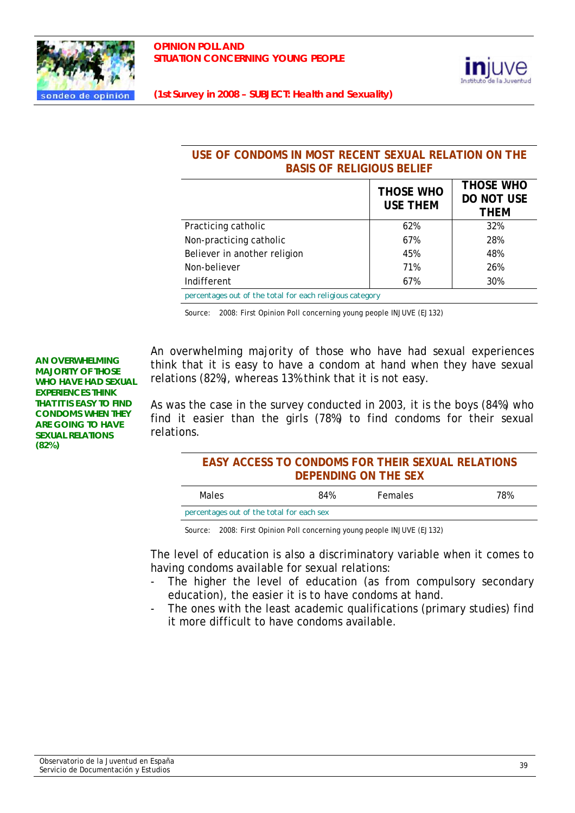



## **USE OF CONDOMS IN MOST RECENT SEXUAL RELATION ON THE BASIS OF RELIGIOUS BELIEF**

| Practicing catholic<br>62%<br>32%<br>Non-practicing catholic<br>67%<br>28%<br>Believer in another religion<br>48%<br>45%<br>71%<br>Non-believer<br>26% |             | <b>THOSE WHO</b><br><b>USE THEM</b> | <b>THOSE WHO</b><br><b>DO NOT USE</b><br><b>THEM</b> |
|--------------------------------------------------------------------------------------------------------------------------------------------------------|-------------|-------------------------------------|------------------------------------------------------|
|                                                                                                                                                        |             |                                     |                                                      |
|                                                                                                                                                        |             |                                     |                                                      |
|                                                                                                                                                        |             |                                     |                                                      |
|                                                                                                                                                        |             |                                     |                                                      |
|                                                                                                                                                        | Indifferent | 67%                                 | 30%                                                  |

*percentages out of the total for each religious category*

Source: 2008: First Opinion Poll concerning young people INJUVE (EJ132)

**AN OVERWHELMING MAJORITY OF THOSE WHO HAVE HAD SEXUAL EXPERIENCES THINK THAT IT IS EASY TO FIND CONDOMS WHEN THEY ARE GOING TO HAVE SEXUAL RELATIONS (82%)** 

An overwhelming majority of those who have had sexual experiences think that it is easy to have a condom at hand when they have sexual relations (82%), whereas 13% think that it is not easy.

As was the case in the survey conducted in 2003, it is the boys (84%) who find it easier than the girls (78%) to find condoms for their sexual relations.

| <b>EASY ACCESS TO CONDOMS FOR THEIR SEXUAL RELATIONS</b> |
|----------------------------------------------------------|
| DEPENDING ON THE SEX                                     |

| Males                                     | 84% | <b>Females</b> | 78% |
|-------------------------------------------|-----|----------------|-----|
| percentages out of the total for each sex |     |                |     |

Source: 2008: First Opinion Poll concerning young people INJUVE (EJ132)

The level of education is also a discriminatory variable when it comes to having condoms available for sexual relations:

- The higher the level of education (as from compulsory secondary education), the easier it is to have condoms at hand.
- The ones with the least academic qualifications (primary studies) find it more difficult to have condoms available.